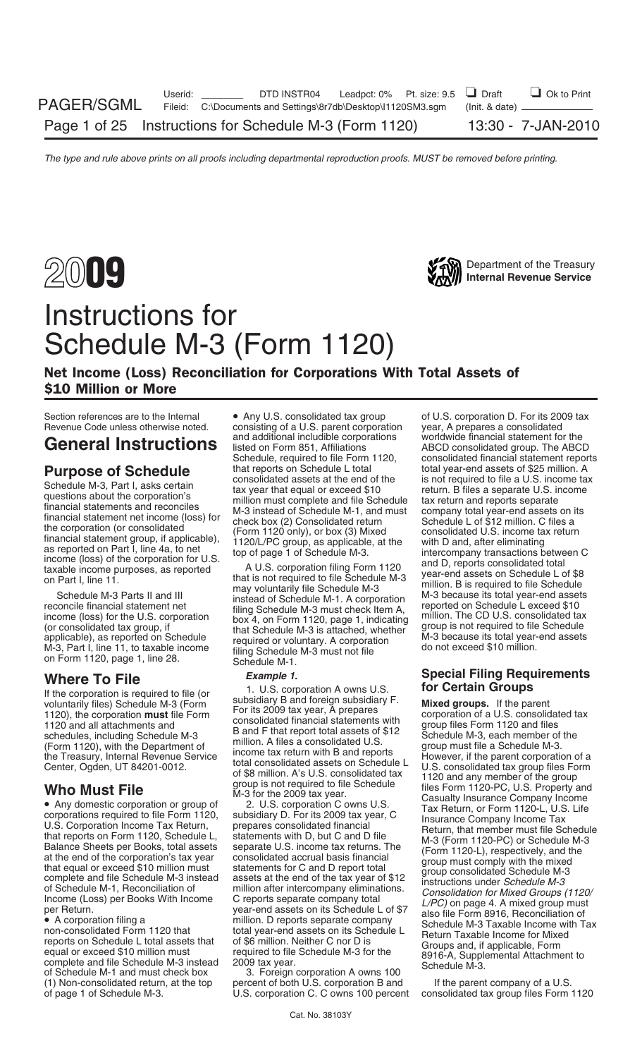

# Instructions for Schedule M-3 (Form 1120)

Net Income (Loss) Reconciliation for Corporations With Total Assets of \$10 Million or More

Section references are to the Internal • Any U.S. consolidated tax group of U.S. corporation D. For its 2009 tax<br>Revenue Code unless otherwise noted. consisting of a U.S. parent corporation year, A prepares a consolidated

consisting of a U.S. parent corporation year, A prepares a consolidated<br>and additional includible corporations worldwide financial statement for the General Instructions and additional includible corporations worldwide infiancial statement for the<br>Schedule, required to file Form 1120, consolidated financial statement repor Schedule, required to file Form 1120, consolidated financial statement reports<br>that reports on Schedule L total state total year-end assets of \$25 million. A **Purpose of Schedule** that reports on Schedule L total total year-end assets of \$25 million. A consolidated assets at the end of the is not required to file a U.S. income tax

If the corporation is required to file (or a corporation A owns U.S. **For Certain Groups** voluntarily files) Schedule M-3 (Form Equation 200 and foreign subsidiary F. **Mixed groups.** If the parent

(1) Non-consolidated return, at the top percent of both U.S. corporation B and If the parent company of a U.S. corporation C.C. Cowns 100 percent consolidated tax group files Form 1120 U.S. corporation C. C owns 100 percent

Chedule M-3, Part I, asks certain<br>
Schedule M-3, Part I, asks certain<br>
star year that equal or exceed \$10<br>
trancial statements and reconciles<br>
financial statements and reconciles<br>
financial statements and reconciles<br>
finan

## **Where To File** *Example 1. Example 1.* Special Filing Requirements **Special Filing Requirements 1.** U.S. corporation A owns U.S. **for Certain Groups**

Colombination Schedule M-3 (Ferom substitute) The and foreign substitute of the Data on the Commission of the Commission of the Commission of the Commission of the Commission of the Commission of the Commission of the Comm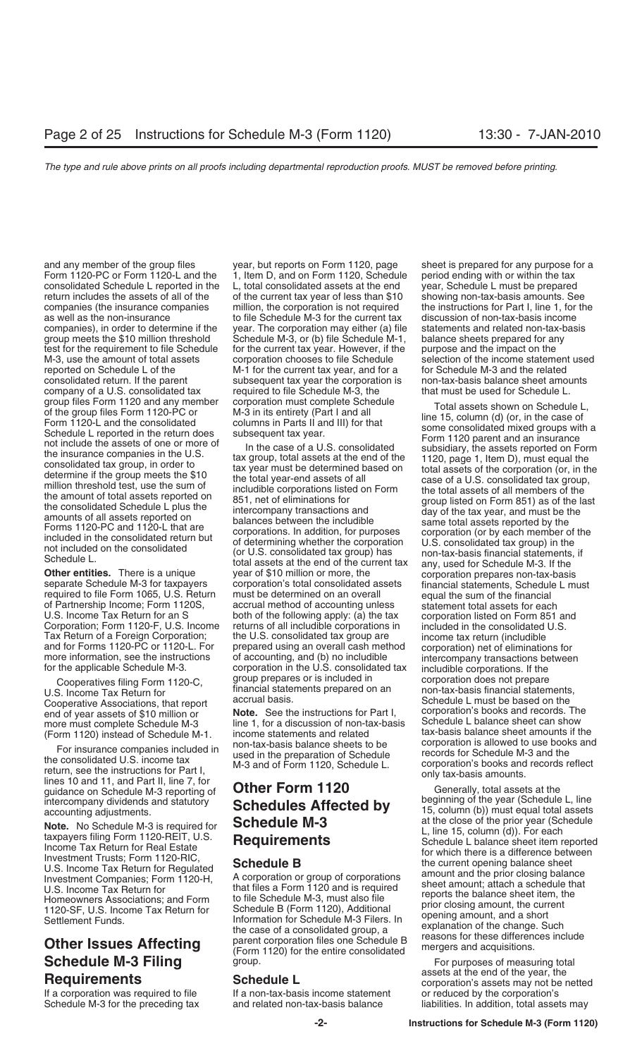and any member of the group files year, but reports on Form 1120, page sheet is prepared for any purpose for a Form 1120-PC or Form 1120-L and the 1, Item D, and on Form 1120, Schedule period ending with or within the tax consolidated Schedule L reported in the L, total consolidated assets at the end year, Schedule L must be prepared return includes the assets of all of the of the current tax year of less than \$10 showing non-tax-basis amounts. See<br>companies (the insurance companies million, the corporation is not required the instructions for Part I, as well as the non-insurance the schedule M-3 for the current tax companies), in order to determine if the year. The corporation may either (a) file statements and related non-tax-basis group meets the \$10 million threshold Schedule M-3, or (b) file Schedule M-1, balance sheets prepared for any<br>test for the requirement to file Schedule for the current tax year. However, if the purpose and the impact on th M-3, use the amount of total assets corporation chooses to file Schedule selection of the income statement used<br>
reported on Schedule L of the Schedul and the current tax year, and for a for Schedule M-3 and the related consolidated return. If the parent subsequent tax year the corporation is non-tax-basis balance sheet amount company of a U.S. consolidated tax required to file Schedule M-3, the that must be used for Schedule L. company of a U.S. consolidated tax required to file Schedule M-3, the group files Form 1120 and any member corporation must complete Sched

required to file Form 1065, U.S. Return must be determined on an overall equal the sum of the financial<br>of Partnership Income; Form 1120S, accrual method of accounting unless statement total assets for each<br>U.S. Income Tax U.S. Income Tax Return for an S both of the following apply: (a) the tax corporation listed on Form 851 and Corporation; Form 1120-F, U.S. Income returns of all includible corporations in included in the consolidated U.S.

Cooperative Associations, that report accrual basis.<br>
end of vear assets of \$10 million or **Note.** See the instructions for Part I, note. Note. See the instructions for Part I, corporation's books and records. The end of year assets of \$10 million or<br>more must complete Schedule M-3 line 1 for a discussion of non-tax-basis Schedule L balance sheet can s

For insurance companies included in the preparation of Schedule<br>the consolidated U.S. income tax<br>return, see the instructions for Part I,<br>lines 10 and 11, and Part II, line 7, for lines 10 and 11, and Part II, line 7, for<br>guidance on Schedule M-3 reporting of **Other Form 1120** Generally, total assets at the<br>intercompany dividends and statutory **Schedules Affected by** beginning of the year (Schedule intercompany dividends and statutory **Schedules Affected by** beginning of the year (Schedule L, line accounting adjustments.

# **Schedule M-3 Filing** (Form 1120) for the entire consolidated Thergers and acquisitions.<br> **Schedule M-3 Filing** group.<br> **Requisions assets at the end of the year, the Requisions**

million, the corporation is not required the instructions for Part I, line 1, for<br>to file Schedule M-3 for the current tax discussion of non-tax-basis income for the current tax year. However, if the M-1 for the current tax year, and for a for Schedule M-3 and the related<br>subsequent tax year the corporation is form-tax-basis balance sheet amounts

Tax Return of a Foreign Corporation; the U.S. consolidated tax group are income tax return (includible<br>and for Forms 1120-PC or 1120-L. For prepared using an overall cash method corporation) net of eliminations for<br>more in Cooperatives filing Form 1120-C, group prepares or is included in corporation does not prepare<br>U.S. Income Tax Return for financial statements prepared on an non-tax-basis financial statements, financial statements prepared on an non-tax-basis financial statements<br>accrual basis. Schedule L must be based on the

more must complete Schedule M-3 line 1, for a discussion of non-tax-basis Schedule L balance sheet can show<br>(Form 1120) instead of Schedule M-1, lincome statements and related tax-basis balance sheet amounts if the

If a non-tax-basis income statement<br>and related non-tax-basis balance

group files Form 1120 and any member corporation must complete Schedule L,<br>
Form 1120 and any member corporation must complete Schedule L, Form 1120-L and the consolidated columns in Parts II and III) for that line 15, col Form 1120) instead of Schedule M-1. income statements and related tax-basis balance sheet amounts if the (Form 1120) instead of Schedule M-1. Income statements and related the corporation is allowed to use books and

Intercompany dividends and statutory<br>accounting adjustments.<br>**Note** No Schedule M-3 is required for **Schedule M-3** at the close of the prior year (Schedule **Note.** No Schedule M-3 at the close of the prior year (Schedule M-axpayers filing Form 1120-REIT, U.S. **Requirements**<br>
Income Tax Return for Real Estate<br>
Income Tax Return for Real Estate<br>
Investment Trusts; Form 1120-REI

**Requirements**<br> **Requirement** Schedule L<br> **Example 16 Of the Schedule L** corporation's assets may not be netted<br> **If a corporation** was required to file<br> **If a non-tax-basis income statement** or reduced by the corporation' Schedule M-3 for the preceding tax and related non-tax-basis balance liabilities. In addition, total assets may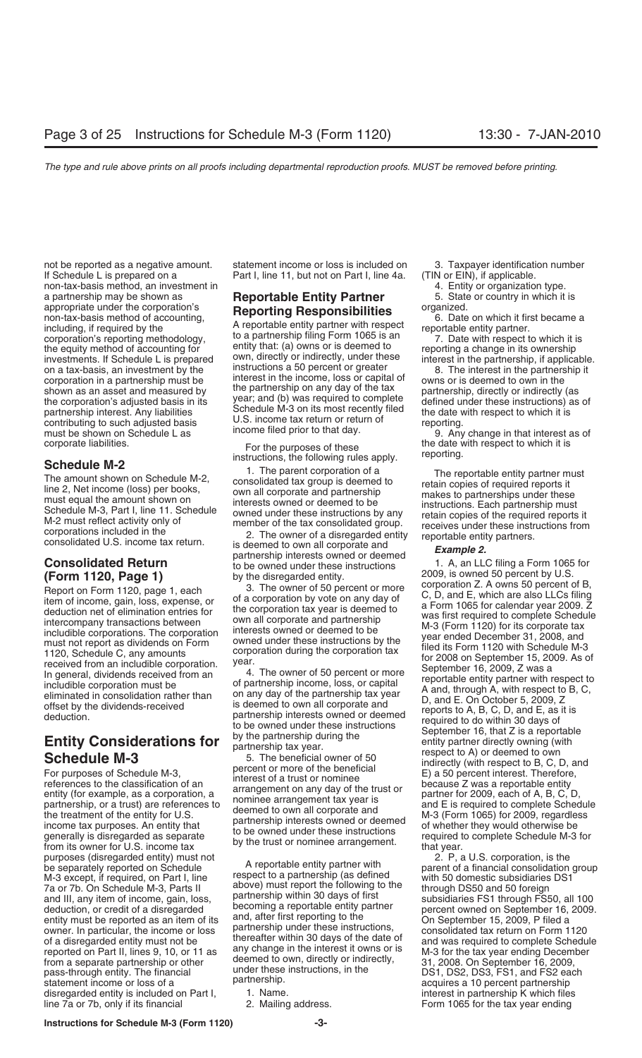non-tax-basis method, an investment in<br> **Reportable Entity Partner** 4. Entity or organization type.<br>
4. Entity or organization type.<br>
5. State or country in which it is a partnership may be shown as<br>
appropriate under the corporation's<br>
including, if required by the<br>
including, if required by the<br>
including, if required by the<br>
including, if required by the<br>
including, if required by the<br> contributing to such adjusted basis b.b. Income tax return or return or<br>must be shown on Schedule L as income filed prior to that day.<br>For the nurnoses of these the sentime date with respect to which it is

Corresponding to the purposes of these<br>
Schedule M-2<br>
Schedule M-2<br>
The amount shown on Schedule M-2,<br>
ine 2, Net income (loss) per books,<br>
ine 2, Net income (loss) per books,<br>
somall corporate and partnership<br>
somall corp

purposes (disregarded entity) must not 2. P, a U.S. corporation, is the be separately reported on Schedule **A** reportable entity partner with be separately reported on Schedule parent of a financial consolidation group M-3 The or 7b. On Schedule M-3, Parts II above) must report the following to the<br>
and III, any item of income, gain, loss,<br>
and III, any item of income, gain, loss,<br>
deduction, or credit of a disregarded<br>
entity must be report disregarded entity is included on Part I, and Mame. The interest in partnership K which files 1. Name. line 7a or 7b, only if its financial 2. Mailing address. Form 1065 for the tax year ending

not be reported as a negative amount. statement income or loss is included on 3. Taxpayer identification number If Schedule L is prepared on a Part I, line 11, but not on Part I, line 4a. (TIN or EIN), if applicable.

respect to a partnership (as defined with 50 domestic subsidiaries DS1 above) must report the following to the  $\frac{1}{2}$  respect to  $\frac{1}{2}$  respect to a partnership (as defined by  $\frac{1}{2}$  respectively.

(Form 1120, Page 1)<br>
Frequence of the external comporation 2. A owns 50 percent of B,<br>
Report on Form 1120, Page 1, each and Euck and Euck and Euck and Euck and Euck and Euck and Euck and Euck and Euck and Euck and Euck a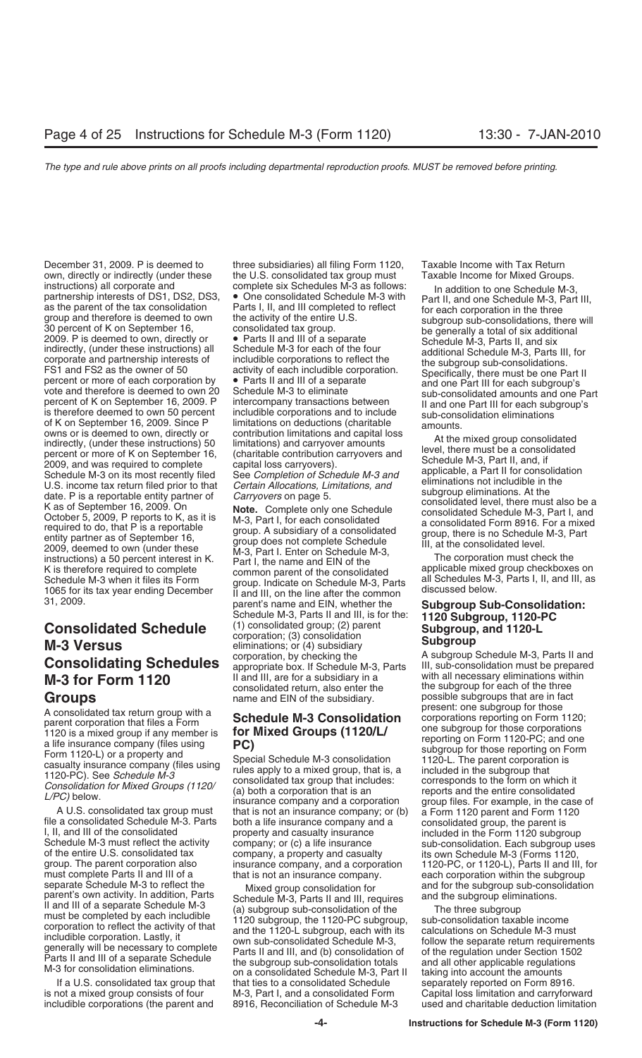December 31, 2009. P is deemed to three subsidiaries) all filing Form 1120, Taxable Income with Tax Return own, directly or indirectly (under these the U.S. consolidated tax group must Taxable Income for Mixed Groups. in addition on e Schedule M-3 as follows:<br>
partnership interests of DS1, DS2, DS3, and Complete six Schedule M-3 was the parent of the tax consolidation Parts I, I, and III completed to reflect because the reach corporatio owns or is deemed to own, directly or contribution imitations and capital loss<br>
imitations) and carryover amounts<br>
percent or more of K on September 16, (charitable contribution carryovers and<br>
generator of Schedule M-3, P

must complete Parts II and III of a<br>separate Schedule M-3 to reflect the<br>parent's own activity. In addition, Parts<br>II and III of a separate Schedule M-3 to reflect the<br>must be competed by each completed by the subgroup con

includible corporations (the parent and

**Consolidating Schedules**<br> **Consolidating Schedules**<br> **Consolidating Schedules**<br> **M-3 for Eorm 1120**<br> **II** and III. are for a subsidiary in a<br> **II** and III. are for a subsidiary in a<br> **III**, sub-consolidation must be prepa **II** and III, are for a subsidiary in a with all necessary eliminations with<br>consolidated return, also enter the the subgroup for each of the three<br>**Groups** hat are in fact<br>anne and EIN of the subsidiary. The subgroups tha

If a U.S. consolidated tax group that that ties to a consolidated Schedule separately reported on Form 8916.<br>is not a mixed group consists of four M-3, Part I, and a consolidated Form Capital loss limitation and carryfor M-3, Part I, and a consolidated Form Capital loss limitation and carryforward<br>8916, Reconciliation of Schedule M-3 used and charitable deduction limitation

name and EIN of the subsidiary. possible subgroups that are in factor of the subsidiary. A consolidated tax return group with a<br>
parent corporation that files a Form<br>
anixed group if any member is<br>
a life insurance company (files using<br>
a mixed group is a mixed groups (1120/L/<br>
Form 1120-L) or a property and<br> of the entire U.S. consolidated tax company, a property and casualty its own Schedule M-3 (Forms 1120, group. The parent corporation also insurance company, and a corporation 1120-PC, or 1120-L), Parts II and III, for must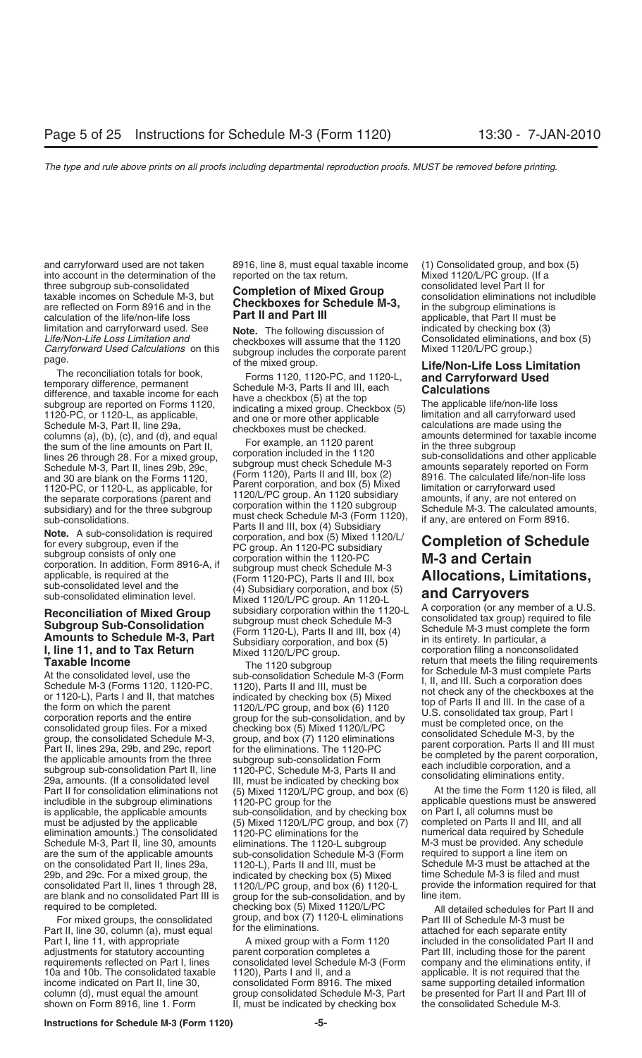three subgroup sub-consolidated<br>taxable incomes on Schedule M-3, but<br>are reflected on Form 8916 and in the<br>calculation of the life/non-life loss<br>**Part II and Part III** and **Part III** and Part III and Part III and Part III<br> calculation of the life/non-life loss limitation and carryforward used. See **Note.** The following discussion of indicated by checking box (3)<br>
Life/Non-Life Loss Limitation and checkboxes will assume that the 1120 Consolidated eliminations, and box (5)<br>
Carryf *Carryforward Used Calculations* on this subgroup includes the corporate parent pace.

page.<br>
The reconciliation totals for book,<br>
temporary difference, permanent<br>
difference, and taxable income for each<br>
difference, and taxable income for each<br>
difference, and taxable income for each<br>
difference, and taxabl

are blank and no consolidated Part III is group for the sub-consolidation, and by required to be completed.

For mixed groups, the consolidated group, and box (7) 1120-L eliminations Part III of Schedule M-3 must be group, and box (7) 1120-L eliminations extracted for each separate entity Part II, line 30, column (a), must equal attached for the eliminations.<br>Part I, line 11, with appropriate entity of a mixed group with a Form 1120 Part I, line 11, with appropriate A mixed group with a Form 1120 included in the consolidated Part II and adjustments for statutory accounting parent corporation completes a Part III, including those for the parent requirements reflected on Part I, lines consolidated level Schedule M-3 (Form company and the eliminations entity, if<br>10a and 10b. The consolidated taxable 1120), Parts I and II, and a subdicable. It is not required that t 10a and 10b. The consolidated taxable 1120), Parts I and II, and a applicable. It is not required that the income indicated on Part II, line 30, consolidated Form 8916. The mixed same supporting detailed information column (d), must equal the amount group consolidated Schedule M-3, Part be presented for Part II and Part III of column (d), must equal the amount group consolidated Schedule M-3, Part shown on Form 8916, line 1. Form II, must be indicated by checking box

and carryforward used are not taken 8916, line 8, must equal taxable income (1) Consolidated group, and box (5) into account in the determination of the reported on the tax return. Mixed 1120/L/PC group. (If a

subsidiary) and for the three subgroup<br>subsidiary) and for the three subgroup<br>sub-consolidations.<br>**Note.** A sub-consolidation is required<br>for every subgroup, even if the<br>for every subgroup, even if the<br>corporation is requi Subgroup Sub-Consolidation<br>
Subgroup Sub-Consolidation (Form 1120-L), Parts II and III, box (4) Schedule M-3 must complete the form<br>
Amounts to Schedule M-3, Part Subsidiary corporation, and box (5) in its entirety. In par

**Taxable Income**<br>
At the consolidated level, use the<br>
At the consolidated level, use the<br>
Schedule M-3 (Form in that meets the filing requirements<br>
Schedule M-3 (Form in the material particle Parts<br>
or 1120-L), Parts I an 29a, amounts. (If a consolidated level III, must be indicated by checking box<br>Part II for consolidation eliminations not (5) Mixed 1120/L/PC group, and box (6) At the time the Form 1120 is filed, all<br>includible in the subg includible in the subgroup eliminations 1120-PC group for the applicable questions must be and is applicable, the applicable amounts sub-consolidation, and by checking box on Part I, all columns must be is applicable, the applicable amounts sub-consolidation, and by checking box on Part I, all columns must be must be<br>must be adjusted by the applicable (5) Mixed 1120/L/PC group, and box (7) completed on Parts II and III, a (5) Mixed 1120/L/PC group, and box (7) completed on Parts II and III, and all<br>1120-PC eliminations for the numerical data required by Schedule elimination amounts.) The consolidated 1120-PC eliminations for the numerical data required by Schedule<br>Schedule M-3, Part II, line 30, amounts eliminations. The 1120-L subgroup M-3 must be provided. Any schedule Schedule M-3, Part II, line 30, amounts eliminations. The 1120-L subgroup M-3 must be provided. Any sched<br>Schedule M-3, Part II, line 30, amounts sub-consolidation Schedule M-3 (Form required to support a line item on are the sum of the applicable amounts sub-consolidation Schedule M-3 (Form required to support a line item on<br>on the consolidated Part II, lines 29a. 1120-1) Parts II and III must be Schedule M-3 must be attached at the on the consolidated Part II, lines 29a, 1120-L), Parts II and III, must be Schedule M-3 must be attached at the<br>1120-L), Parts II and III, must be Schedule M-3 is filed and must and must interedule M-3 is filed and must consolidated Part II, lines 1 through 28, 1120/L/PC group, and box  $(6)$  1120-L provide the sub-consolidation and by line item. checking box (5) Mixed 1120/L/PC and all detailed schedules for Part II and group, and box (7) 1120-L eliminations and Part III of Schedule M-3 must be

II, must be indicated by checking box the consolidated Schedule M-3.

**II, line 11, and to Tax Return**<br>**I, line 11, and to Tax Return** Mixed 1120/L/PC group. Corporation filing a nonconsolidated<br>**Taxable Income** The 1120 oubgroup. The return that meets the filing requirements

indicated by checking box (5) Mixed time Schedule M-3 is filed and must<br>1120/L/PC group, and box (6) 1120-L provide the information required for that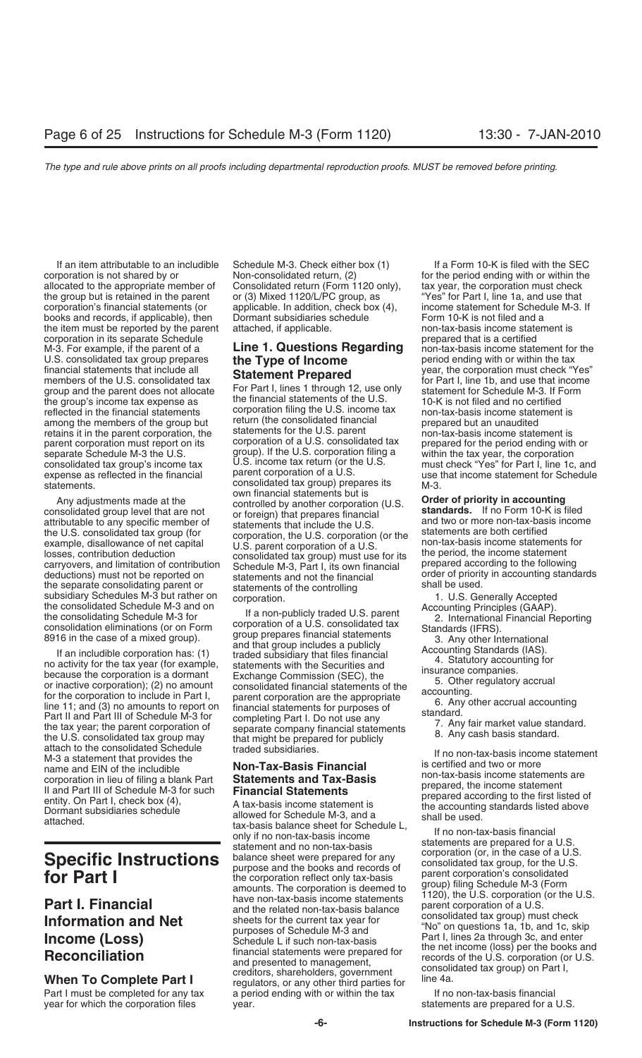corporation is not shared by or Non-consolidated return, (2) for the period ending with or within the allocated to the appropriate member of Consolidated return (Form 1120 only), tax year, the corporation must check<br>the group but is retained in the parent or (3) Mixed 1120/L/PC group, as "Yes" for Part I, line 1a, and use the group but is retained in the parent or (3) Mixed 1120/L/PC group, as "Yes" for Part I, line 1a, and use that corporation's financial statements (or applicable. In addition, check box (4), income statement for Schedule books and records, if applicable), then Dormant subsidiaries schedule Form 10-K is not filed and a<br>the item must be reported by the parent attached, if applicable. The non-tax-basis income statement is the item must be reported by the parent attached, if applicable. corporation in its separate Schedule<br>M-3. For example, if the parent of a **Line 1. Questions Regarding** non-tax-basis income statement for the M-3. For example, if the parent of a **Line 1. Questions Regarding** non-tax-basis income statement for U.S. consolidated tax group prepares **the Type of Income** period ending with or within the tax U.S. consolidated tax group prepares **the Type of Income** period ending with or within the tax<br>financial statements that include all **Statement Prepared** year, the corporation must check "Yes"<br>members of the U.S. consolida members of the U.S. consolidated tax<br>group and the parent does not allocate for Part I, lines 1 through 12, use only<br>the group's income tax expense as the financial statements of the U.S. 10-K is not filed and no certified statements. The consolidated tax group) prepares its

If an item attributable to an includible Schedule M-3. Check either box (1) If a Form 10-K is filed with the SEC applicable. In addition, check box (4), income statement for Sched<br>Dormant subsidiaries schedule Form 10-K is not filed and a

the financial statements of the group int operation filing the U.S. income tax is not fax-basis income statement is no certified and no certified and non-tax-basis income statement is non-tax-basis income statement is nonamong the members of the group but return (the consolidated financial prepared but an unaudited retains it in the parent corporation the statements for the U.S. parent retains it in the parent corporation, the statements for the U.S. parent<br>parent corporation must report on its corporation of a U.S. consolidated tax prepared for the period ending with corporation of a U.S. consolidated tax energared for the period ending with or group). If the U.S. corporation filing a sum within the tax vears the corporation separate Schedule M-3 the U.S. group). If the U.S. corporation filing a within the tax year, the corporation consolidated tax group's income tax U.S. income tax return (or the U.S. must check "Yes" for Part I, line 1c, U.S. income tax return (or the U.S. compared tax check "Yes" for Part I, line 1c, and parent corporation of a U.S. expense as reflected in the financial parent corporation of a U.S. expense use that income statement for Schedule consolidated tax group) prepares its  $M-3$ . own financial statements but is<br>controlled by another corporation (U.S. Any adjustments made at the consolidated group level that are not<br>consolidated group level that are not<br>attributable to any specific member of statements that include the U.S.<br>attributable to any specific member of stateme the U.S. consolidated tax group (for<br>example, disallowance of net capital<br>losses, contribution deduction<br>losses, contribution deduction<br>carryovers, and limitation of contribution<br>deductions) must not be reported on<br>deducti

the separate consolidating parent or statements of the controlling and the separate consolidation consolidation from the controlling Pincelpack (AAB), the consolidation from the consolidation from the consolidation from t Part I must be completed for any tax a period ending with or within the tax If no non-tax-basis financial year for which the corporation files year. year year which the corporation files year.

- 
- 
-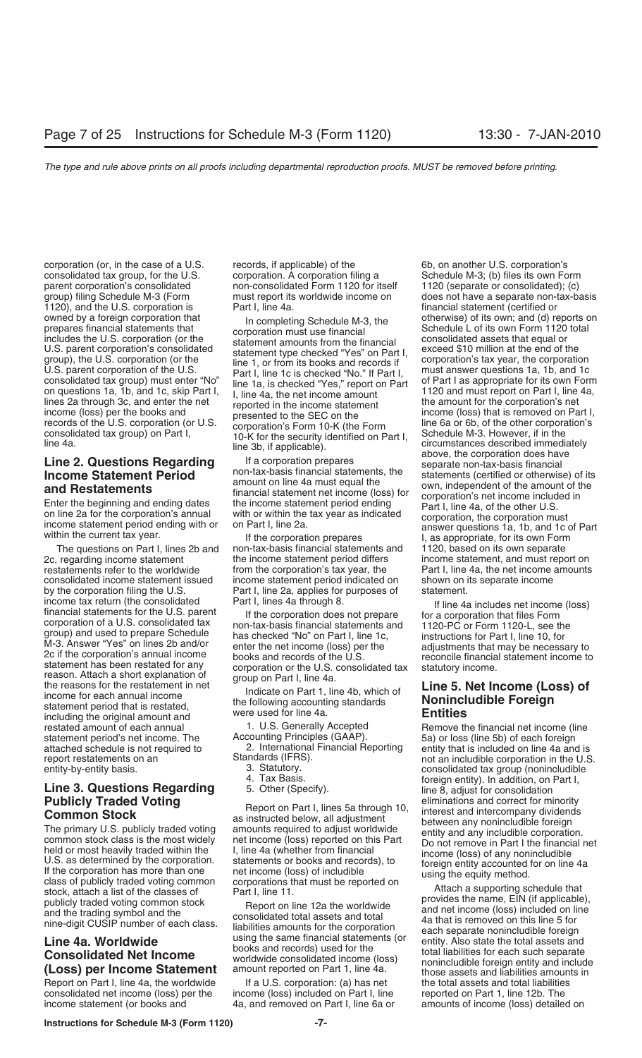corporation (or, in the case of a U.S. records, if applicable) of the 6b, on another U.S. corporation's consolidated tax group, for the U.S. corporation. A corporation filing a Schedule M-3; (b) files its own Form parent corporation's consolidated non-consolidated Form 1120 for itself 1120 (separate or consolidated); (c) proup) filing Schedule M-3 (Form must report its worldwide income on does not have a separate non-tax-bay  $1120$ , and the U.S. corporation is Part I, line 4a.

income tax return (the consolidated Fart I, lines 4a through 8.<br>
financial statements for the U.S. parent<br>
croporation of a U.S. consolidated tax<br>
proup) and used to prepare Schedule<br>
mon-tax-basis financial statements and statement period that is restated,<br>
including the original amount and were used for line 4a. **Entities**<br>
restated amount of each annual **Entities**<br>
1. U.S. Generally Accepted **Entities** statement period's net income. The Accounting Principles (GAAP). 5a) or loss (line 5b) of each foreign<br>attached schedule is not required to 2. International Financial Reporting entity that is included on line 4a an attached schedule is not required to 2. International Financial Reporting entity that is included on line 4a and is

**Publicly Traded Voting**<br> **Publicly Traded Voting**<br> **Common Stock**<br>
The primary U.S. publicly traded voting<br>
The primary and adjustment<br>
to common stock class is the most widely<br>
net income (loss) reported on this Part<br>
to

Report on Part I, line 4a, the worldwide If a U.S. corporation: (a) has net the total assets and total liabilities<br>consolidated net income (loss) per the income (loss) included on Part I, line reported on Part 1, line 12b. consolidated net income (loss) per the income statement (or books and 4a, and removed on Part I, line 6a or amounts of income (loss) detailed on

The questions on Part I, lines 2b and non-tax-basis financial statements and 1120, based on its own separate 2c, regarding income statement entity the income statement period differs income statement, and must report on<br>
restatements refer to the worldwide from the corporation's tax year, the Part I, line 4a, the net income amoun consolidated income statement issued income statement period indicated on shown on its separate income by the corporation filing the U.S. Part I, line 2a, applies for purposes of statement.<br>income tax return (the consolidated Part I, lines 4a through 8.

1. U.S. Generally Accepted **annual 1. U.S. Generally Accepted** Remove the financial net income (line<br>Recounting Principles (GAAP). Annual or loss (line 5b) of each foreign

- 
- 
- 

group) filing Schedule M-3 (Form must report its worldwide income on does not have a separate non-tax-basis not have a separate non-tax-basis distribution of the U.S. corporation is exact I, line 4a. owed by a foreign corporation that<br>
in completing Schedule M-3, the<br>
includes the U.S. corporation that the corporation in the simulation the simulation of the<br>
includes the term of the site term in the corporation of the restatements refer to the worldwide from the corporation's tax year, the Part I, line 4a, the net income amounts

report restatements on an Standards (IFRS).<br>
antity-by-entity basis. The U.S. Statutory. The Statutory of the U.S. Statutory. The consolidated tax group (nonincludible entity-by-entity basis. **3. Statutory.** 3. Statutory. consolidated tax group (nonincludible 4. Tax Basis. **Line 3. Questions Regarding** 4. Tax Basis. **Line 3. Questions Regarding** 5. Other (Specify). line 8, adjust for con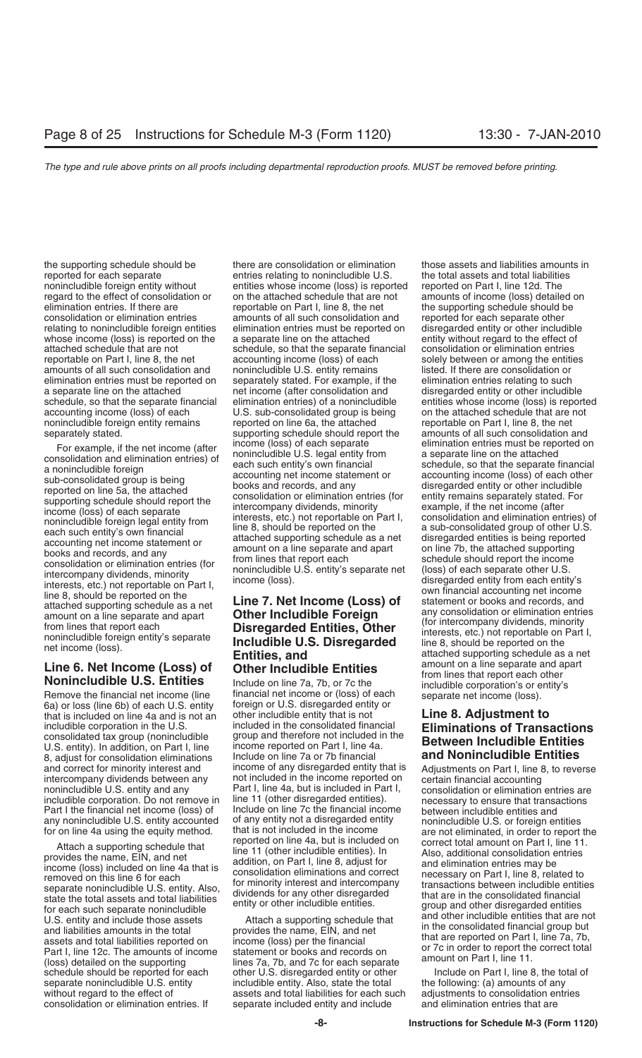amounts of all such consolidation and

Remove the financial net income (line financial net income or (loss) of each separate net income (loss).<br>6a) or loss (line 6b) of each U.S. entity foreign or U.S. disregarded entity or 6a) or loss (line 6b) of each U.S. entity foreign or U.S. disregarded entit that is included on line 4a and is not an other includible entity that is not that is included on line 4a and is not an other includible entity that is not **Line 8. Adjustment to**<br>includible corporation in the U.S included in the consolidated financial **Fliminations of Trans** includible corporation in the U.S. **Eliminations of Transactions**<br>
consolidated tax group (nonincludible group and therefore not included in the **Retween Includible Entities** consolidated tax group (nonincludible group and therefore not included in the **Between Includible Entities** U.S. entity). In addition, on Part I, line income reported on Part I, line 4a. 8, adjust for consolidation eliminations Include on line 7a or 7b financial<br>and correct for minority interest and **income of any disregarded entity that is** intercompany dividends between any and included in the income reported on expertain financial accounting<br>nonincludible U.S. entity and any Part I, line 4a, but is included in Part I, consolidation or elimination nonincludible U.S. entity and any Part I, line 4a, but is included in Part I, consolidation or elimination entries are<br>includible corporation. Do not remove in line 11 (other disregarded entities). The enessary to ensure t Part I the financial net income (loss) of Include on line 7c the financial income between includible entities and<br>Any nonincludible U.S. entity accounted of any entity not a disregarded entity and includible U.S. or foreig any nonincludible U.S. entity accounted of any entity not a disregarded entity monincludible U.S. or foreign entities for on line 4a using the equity method. Ithat is not included in the income are not eliminated, in order

schedule should be reported for each other U.S. disregarded entity or other Include on Part I, line 8, the total of separate nonincludible U.S. entity includible entity. Also, state the total the following: (a) amounts of any<br>without regard to the effect of any assets and total liabilities for each such adjustments to consolidation entr

the supporting schedule should be there are consolidation or elimination those assets and liabilities amounts in reported for each separate entries relating to nonincludible U.S. the total assets and total liabilities nonincludible foreign entity without entities whose income (loss) is reported reported on Part I, line 12d. The regard to the effect of consolidation or on the attached schedule that are not amounts of income (loss) detailed on elimination entries. If there are reportable on Part I, line 8, the net the supporting schedule should be reportable on Part I, line 8, the net consolidation or elimination entries amounts of all such consolidation and reported for each separate other relating to nonincludible foreign entities elimination entries must be reported on disregarded entity or other includible whose income (loss) is reported on the a separate line on the attached entity without regard to the effect of attached schedule that are not schedule, so that the separate financial consolidation or elimination entries schedule, so that the separate financial consolidation or elimination entries reportable on Part I, line 8, the net accounting income (loss) of each solely between or among the entities amounts of all such consolidation and nonincludible U.S. entity remains listed. If there are consolidation or elimination entries must be reported on separately stated. For example, if the elimination entries relating to such a separate line on the attached net income (after consolidation and disregarded entity or other includible schedule, so that the separate financial elimination entries) of a nonincludible entities whose income (loss) is reported accounting income (loss) of each U.S. sub-consolidated group is being on the attached schedule that are not nonincludible foreign entity remains reported on line 6a, the attached reportable on Part I, line 8, the net separately stated. supporting schedule should report the amounts of all such consolidation and

line 11 (other disregarded entities).  $\frac{1}{10}$  necessary to ensure that transactions include on line 7c the financial income between includible entities and

assets and total liabilities for each such consolidation or elimination entries. If separate included entity and include and elimination entries that are

For example, if the net income (after income (loss) of each separate either enoted on an elimination entries) of each such mitrivs own financial<br>anonicidation and elimination entries) of each such entity's own financial<br>an **Line 6. Net Income (Loss) of**<br> **Other Includible Entities**<br>
Includible Transferred and apart<br>
Includible Entities<br>
Includible Entities<br>
Includible Entities<br>
Includible Corporation's or entity's<br>
Remove the financial net i

and correct for minority interest and income of any disregarded entity that is Adjustments on Part I, line 8, to reverse<br>intercompany dividends between any one included in the income reported on certain financial accountin for on line 4a using the equity method. that is not included in the income<br>
Attach a supporting schedule that<br>
ine 11 (other includible entities). In<br>
provides the name, EIN, and net<br>
and income (loss) includible on line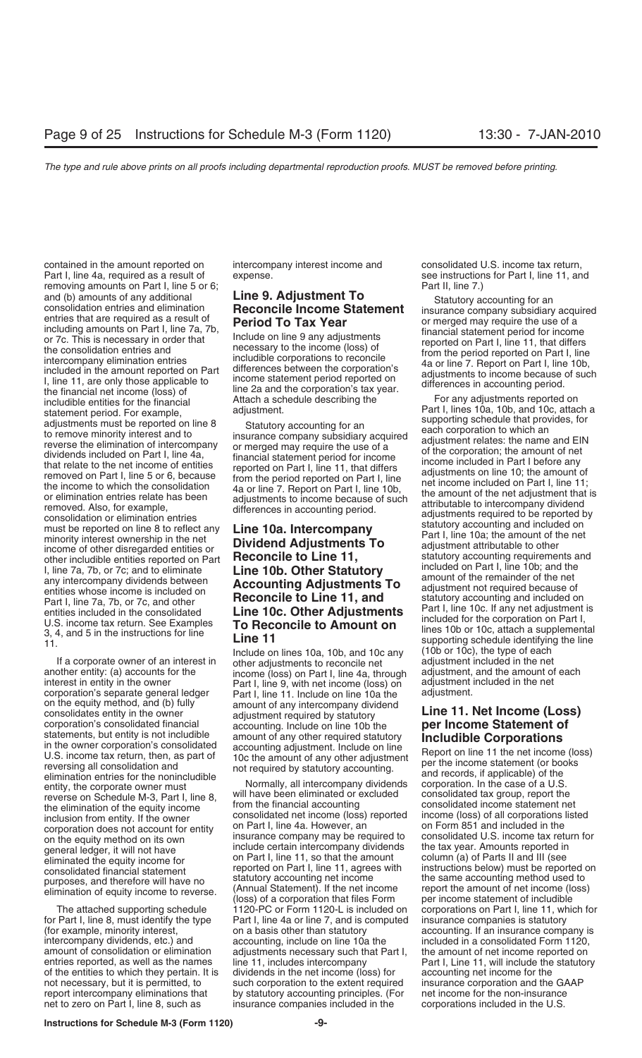contained in the amount reported on intercompany interest income and consolidated U.S. income tax return, Part I, line 4a, required as a result of expense. See instructions for Part I, line 11, and removing amounts on Part I, line 5 or 6;<br>and (b) amounts of any additional **Eine 9. Adjustment To** and (b) amounts of any additional<br>
entries and elimination<br>
entries that are required as a result of<br>
including amounts on Part 1, line 7, 7b,<br>
including amounts on Part 1, line 7 and 1, line 7 and 1, line 7 and 1, line 7 Statement period. For example,<br>
adjustment and the reported on line 8<br>
adjustment and the reported on line 8<br>
to remove minority interest and to<br>
to remove minority interest and to<br>
the elimination of intercompany<br>
dividen Experience of other distersion line 8 to reflect any<br>
interest ownership in the net<br>
income of other disregarded entities or<br>
other includible entities reported on Part<br>
I, line 7a, 7b, or 7c; and to eliminate<br>
any interco For the stricties included in the consolidated<br>
U.S. income tax return. See Examples<br>
3, 4, and 5 in the instructions for line<br>
11.<br>
11.

If a corporate owner of an interest in other adjustments to reconcile net adjustment included in the net another entity: (a) accounts for the income (loss) on Part I. line 4a, through adjustment, and the amount of each another entity: (a) accounts for the income (loss) on Part I, line 4a, through adjustment, and the amount of interest in entity in the owner corporation's separate general ledger<br>on the equity method, and (b) fully<br>amount of any intercompany dividend or the equivy method, and (b) fully amount of any intercompany dividend<br>consolidates entity in the owner<br>corporation's consolidated financial<br>accounting. Include on line 10b the<br>interval accounting accounting accounting at

Include on lines 10a, 10b, and 10c any (10b or 10c), the type of each<br>other adjustments to reconcile net adjustment included in the net Part I, line 9, with net income (loss) on adjustment income<br>Part I, line 11, Include on line 10a the adjustment.

The attached supporting schedule 1120-PC or Form 1120-L is included on corporations on Part I, line 11, which for for Part I, line 8, must identify the type Part I, line 4a or line 7, and is computed insurance companies is statutory<br>(for example, minority interest, on a basis other than statutory accounting. If an insurance comp (for example, minority interest, example, minority interest, and the statutory accounting. If an insurance company is intercompany dividends, etc.) and accounting, include on line 10a the included in a consolidated Form 11 amount of consolidation or elimination adjustments necessary such that Part I, the amount of net income reported on entries reported, as well as the names line 11, includes intercompany Part I, Line 11, will include the statutory of the entities to which they pertain. It is dividends in the net income (loss) for accounting net income for the not necessary, but it is permitted, to such corporation to the extent required insurance corporation and the GAAP<br>report intercompany eliminations that by statutory accounting principles. (For net income for the non-insura by statutory accounting principles. (For net income for the non-insurance net to zero on Part I, line 8, such as insurance companies included in the corporations included in the U.S.

included in a consolidated Form 1120,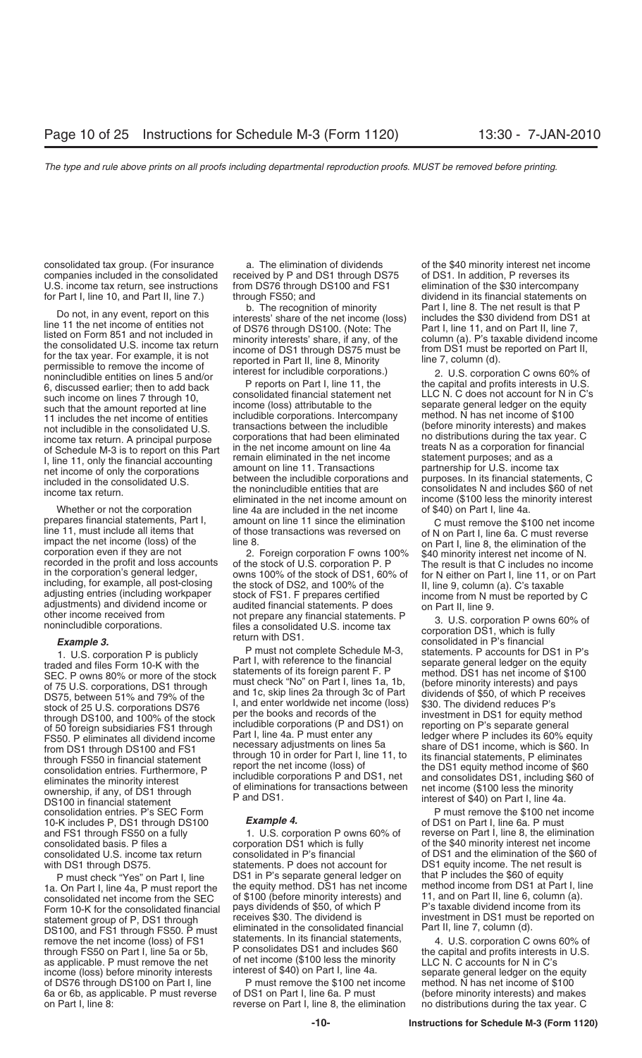consolidated tax group. (For insurance a. The elimination of dividends of the \$40 minority interest net income companies included in the consolidated received by P and DS1 through DS75 of DS1. In addition, P reverses its U.S. income tax return, see instructions from DS76 through DS100 and FS1 elimination of the \$30 intercompany for Part I, line 10, and Part II, line 7.) through FS50; and dividend in its financial statements of

For the capital and profits interests in U.S.<br>
Soldiers in the capital and profits interests in U.S.<br>
such income on lines 7 through 10,<br>
such that the amount reported at line<br>
income (loss) attributable to the<br>
11 include The includible in the consolidated U.S. The includible corporations between the includible (before minority interests) and makes income tax return A principal purpose corporations that had been eliminated no distributions

prepares financial statements, Part I, amount on line 11 since the elimination<br>line 11, must include all items that of those transactions was reversed on of N on Part I, line 6a. C must reverse<br>impact the net income (loss)

Stock of 25 U.S. corporations DS76<br>
through DS100, and 100% of the stock<br>
of 50 foreign subsidiaries FS1 through<br>
FS50. P eliminates all dividend income<br>
FS50. P eliminates all dividend income<br>
FS50. P eliminates all divid 10-K includes P, DS1 through DS100 and FS1 through FS50 on a fully

1a. On Part I, line 4a, P must report the the equity method. DS1 has net income method income from DS1 at Part I, line consolidated net income from the SEC of \$100 (before minority interests) and 11, and on Part II, line 6 statement group of P, DS1 through receives \$30. The dividend is<br>DS100, and FS1 through FS50. P must eliminated in the consolidated financial Part II, line 7, column (d).<br>Framove the net income (loss) of FS1 statements. In remove the net income (loss) of FS1 statements. In its financial statements<br>through ES50 on Part Lline 5a or 5b P consolidates DS1 and includes \$60 through FS50 on Part I, line 5a or 5b, the consolidates DS1 and includes \$60 the capital and profits interests in U.S. P consolidates DS1 and includes \$60 the capital and profits interests in U.S. P as applicable. P must as applicable. P must remove the net of net income (\$100 less the minority LLC N. C accounts for N in C's income (loss) before minority interests interest of \$40) on Part I, line 4a.<br>income (loss) before minority interests interest of \$40) on Part I, line 4a.<br>of DS76 through DS100 on Part I, line P must remove the \$100 net inc of DS76 through DS100 on Part I, line P must remove the \$100 net income method. N has net income of \$100 on Part I, line 6a. P must reverse of DS1 on Part I, line 6a. P must come minority interests) and makes 6a or 6b, as applicable. P must reverse of DS1 on Part I, line 6a. P must on Part I, line 8, the elimination

Do not, in any event, report on this interests' share of the net income (loss) and the net income of entities not<br>listed on Form 851 and not included in incrity interests' share of the net income (loss) includes the \$30 di

Friedrich tax return. A principal purpose corporations that had been eliminated in the distributions during the tax year. C<br>of Schedule M-3 is to report on this Part in the net income amount on line 4a<br>I, line 11, only the included in the consolidated U.S.<br>income tax return.<br>eliminated in the net income amount on income (\$100 less the minority interest Whether or not the corporation bine 4a are included in the net income<br>prepares financial statements, Part I, amount on line 11 since the elimination

in the corporation's general ledger,<br>
in the corporation's general ledger, wowns 100% of the stock of DS1, 60% of for N either on Part I, line 11, or on Part<br>
including, for example, all post-closing<br>
adjusting entries (in

SEC. P owns 80% or more of the stock statements of its foreign parent F. P method. DS1 has net income of \$100<br>of 75 U.S. corporations, DS1 through must check "No" on Part I, lines 1a, 1b, (before minority interests) and pa must check "No" on Part I, lines 1a, 1b, (before minority interests) and pays and 1c, skip lines 2a through 3c of Part dividends of \$50, of which P receives of 75 G.S. corporations, DOT through<br>DS75, between 51% and 79% of the and 1c, skip lines 2a through 3c of Part dividends of \$50, of which P receive<br>stock of 25 LLS, corporations DS76 L, and enter worldwide net income (loss

with DS1 through DS75. statements. P does not account for DS1 equity income. The net result is<br>P must check "Yes" on Part Lline DS1 in P's separate general ledger on that P includes the \$60 of equity P must check "Yes" on Part I, line DS1 in P's separate general ledger on that P includes the \$60 of equity<br>On Part Lline 4a P must report the the equity method. DS1 has net income method income from DS1 at Part I, line

on Part I, line 8: reverse on Part I, line 8, the elimination no distributions during the tax year. C

for Part I, line 10, and through FS50; and dividend in its financial statements on<br>b. The recognition of minority Part I, line 8. The net result is that P

income (\$100 less the minority interest of \$40) on Part I, line 4a.

**Example 3.** Future Will DS1. Statements. P accounts for DS1 in P's<br>1. U.S. corporation P is publicly Part I, with reference to the financial statements. P accounts for DS1 in P's<br>1. The statement Part I, with reference to

consolidation entries. P's SEC Form **Example 4.** P must remove the \$100 net income<br>10-K includes P. DS1 through DS100 **Example 4.** The Section of DS1 on Part I, line 6a. P must and FS1 through FS50 on a fully 1. U.S. corporation P owns 60% of reverse on Part I, line 8, the elimination consolidated basis. P files a corporation DS1 which is fully file \$40 minority interest net income of the \$40 minority interest net income consolidated U.S. income tax return consolidated in P's financial of DS1 and the elimination of the \$60 of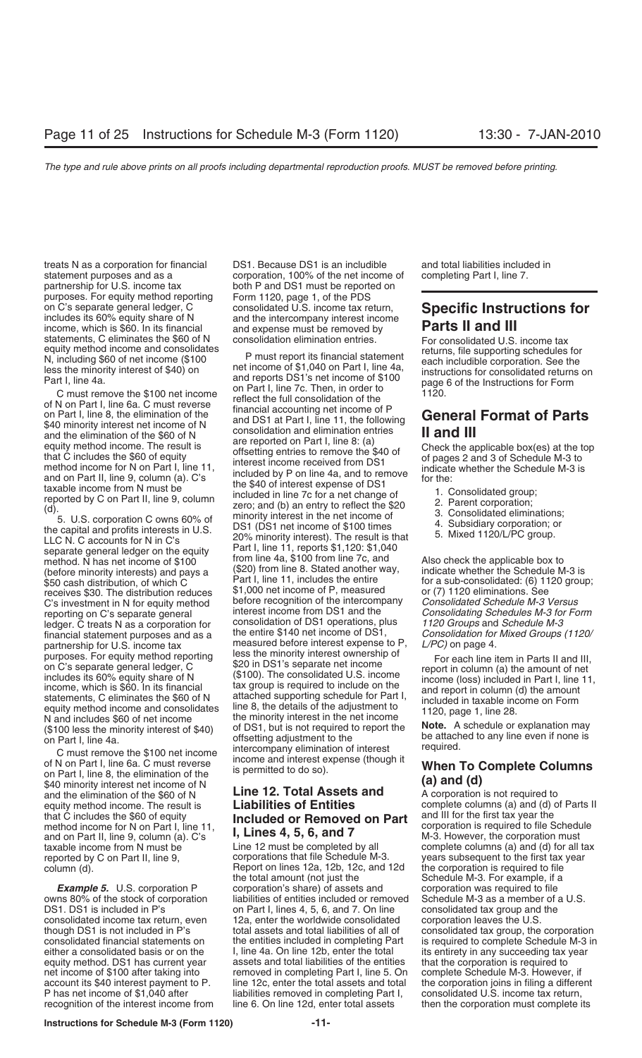treats N as a corporation for financial DS1. Because DS1 is an includible and total liabilities included in statement purposes and as a corporation, 100% of the net income of completing Part I, line 7. partnership for U.S. income tax both P and DS1 must be reported on purposes. For equity method reporting Form 1120, page 1, of the PDS<br>on C's separate general ledger, C consolidated U.S. income tax return, on C's separate general ledger, C consolidated U.S. income tax return, **Specific Instructions for** includes its 60% equity share of N and the intercompany interest income<br>income, which is \$60. In its financial and expense income, which is \$60. In its financial statements, C eliminates the \$60 of N consolidation elimination entries. For consolidated U.S. income tax<br>equity method income and consolidates equity equity method income and consolidates equity method income and consolidates<br>
N, including \$60 of net income (\$100<br>
less the minority interest of \$40) on entincome of \$1,040 on Part I, line 4a,<br>
less the minority interest of \$40) on and reports DS1's not income

receives \$30. The distribution reduces  $\frac{1,000 \text{ net}}{2}$  investment in N for equity method before recognition of the intercompany partnership for U.S. income tax measured before interest expense to P, *purposes.* For equity method reporting less the minority interest ownership of

and the elimination of the Sepannian of the Sepannian Correct Assets and Captus and the elimination of the \$60 of N<br>
and the elimination of the \$60 of N<br> **Line 12. Total Assets and** A corporation is not required to<br>
equity and on Part II, line 9, column (a). C's **I, Lines 4, 5, 6, and 7** M-3. However, the completed by all and the completed by all

Part I, line 4a. and reports DS1's net income of \$100<br>
C must remove the \$100 net income<br>
of N on Part I, line 6a. C must reverse<br>
of N on Part I, line 6a. C must reverse<br>
tinancial accounting net income of P<br>
and DS1 at P \$40 minority interest net income of N<br>and the elimination and elimination entries<br>and the elimination consolidation and elimination entries<br>that C includes the \$60 of equity<br>that C includes the \$60 of equity<br>that C include separate general ledger on the equity<br>
method. N has net income of \$100<br>
(before minority interests) and pays a (\$20) from line 8. Stated another way, indicate whether the Schedule M-3 is<br>  $\frac{1}{20}$  from line 8. Stated an \$50 cash distribution, of which C Fart I, line 11, includes the entire for a sub-consolidated: (6) 1120 group;<br>receives \$30. The distribution reduces \$1,000 net income of P, measured or (7) 1120 eliminations. See C's investment in N for equity method before recognition of the intercompany *Consolidated Schedule M-3 Versus* reporting on C's separate general interest income from DS1 and the *Consolidating Schedules M-3 for Form*<br>ledger, C treats N as a corporation for consolidation of DS1 operations, plus 1120 Groups and Schedule M-3 ledger. C treats N as a corporation for consolidation of DS1 operations, plus *1120 Groups* and *Schedule M-3* tinancial statement purposes and as a the entire \$140 net income of DS1, *Consolidation for*<br>measured before interest expense to P, L/PC) on page 4. purposes. For equity method reporting<br>on C's separate general ledger, C<br>includes its 60% equity share of N<br>income, which is \$60. In its financial<br>statements, C eliminates the \$60 of N<br>attacked supporting schedule for Part statements, C eliminates the \$60 of N<br>equity method income and consolidates line 8, the details of the adjustment to<br>N and includes \$60 of net income<br>the minority interest in the net income<br>(\$100 less the minority interest The A schedule or explanation may<br>
(\$100 less the minority interest of \$40) of DS1, but is not required to report the<br>
on Part I, line 4a.<br>
C must remove the \$100 net income<br>
of N on Part I, line 6a. C must reverse<br>
on Pa

### equity method income. The result is **Liabilities of Entities** complete columns (a) and (d) of Parts II that C includes the \$60 of equity **included or Removed on Part** and III for the first tax year the that C includes the \$60 of equity **included or Removed on Part** and III for the first tax year the method income for N on Part I, line 11, **included or Removed on Part** corporation is required to file Schedule and on Part

taxable income from N must be <br>  $\begin{array}{lll}\n & \text{Line 12 must be completed by all} \\
 & \text{complete columns (a) and (d) for all tax} \\
 & \text{resorted by C on Part II. line 9.}\n\end{array}$ reported by C on Part II, line 9, corporations that file Schedule M-3. years subsequent to the first tax column (d).<br>Report on lines 12a, 12b, 12c, and 12d the corporation is required to file column (d). The column (d). Report on lines 12a, 12b, 12c, and 12d the total amount (not just the **Example 5.** U.S. corporation P corporation's share) of assets and corporation was required to file owns 80% of the stock of corporation Schedulities of entities included or removed Schedule M-3 as a member of a U.S. DS1. DS1 is included in P's consolidated tax group and the on Part I, lines 4, 5, 6, and 7. On line consolidated tax group and the consolidated income tax return, even 12a, enter the worldwide consolidated corporation leaves the U.S. though DS1 is not included in P's total assets and total liabilities of all of consolidated tax group, the though DS1 is not included in P's total assets and total liabilities of all of consolidated tax group, the corporation consolidated financial statements on the entities included in completing Part is required to complete S either a consolidated basis or on the it, line 4a. On line 12b, enter the total its entirety in any succeeding tax year equity method. DS1 has current year assets and total liabilities of the entities that the corporation is required to<br>net income of \$100 after taking into removed in completing Part I, line 5. On complete Schedule M-3. Howe removed in completing Part I, line 5. On account its \$40 interest payment to P. line 12c, enter the total assets and total the corporation joins in filing a different P has net income tax return, liabilities removed in completing Part I, recognition of the interest income from line 6. On line 12d, enter total assets then the corporation must complete its

- 
- 
- 
- 
- 

Schedule M-3. For example, if a is required to complete Schedule M-3 in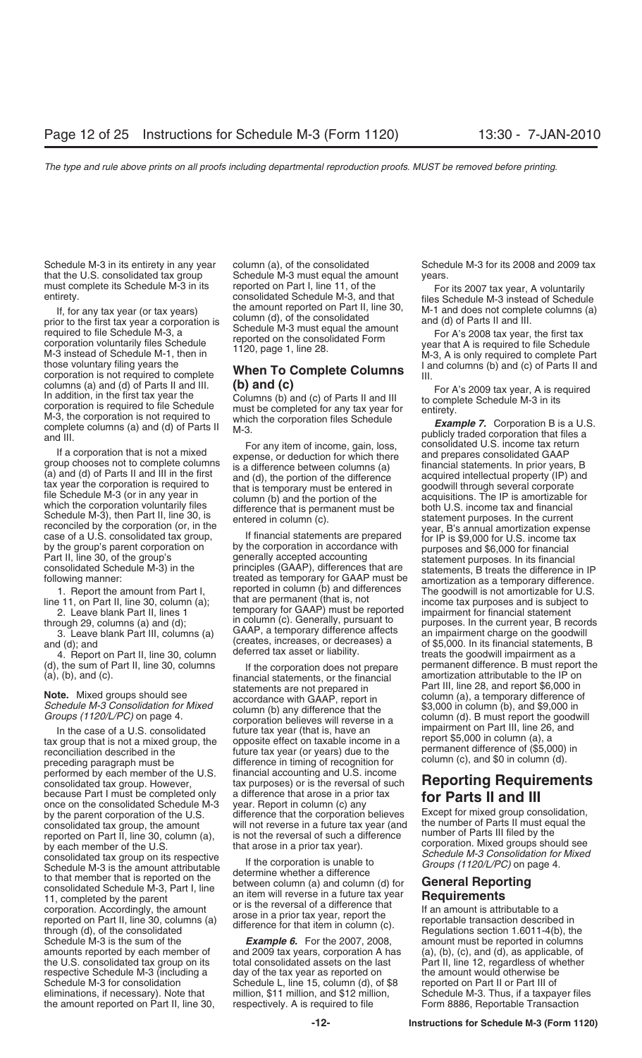If, for any tax year (or tax years)<br>
prior to the first tax year a corporation is<br>
required to file Schedule M-3, a<br>
column (d), of the consolidated<br>
required to file Schedule M-3, a<br>
corporation voluntarily files Schedule columns (a) and (d) of Parts II and III. (b) and (c)  $\frac{1}{2}$  for A's 2009 tax year, A is required<br>In addition, in the first tax year the<br>corporation is required to file Schedule<br>M-3, the corporation is not required to<br>c

If a corporation that is not a mixed<br>group chooses not to complete columns<br>(a) and (d) of Parts II and III in the first<br>tax year the corporation is required to<br>file Schedule M-3 (or in any year in<br>file Schedule M-3 (or in

performed by each member of the U.S. financial accounting and U.S. income consolidated tax group. However, the preversion of such consolidated tax group. However, tax purposes) or is the reversal of such **Reporting Requirements** because Part I must be completed only a difference that arose in a prior tax **for Parts II and III**<br>once on the consolidated Schedule M-3 year. Report in column (c) any **for Parts II and III**<br>by the parent corporation of t by the parent corporation of the U.S. difference that the corporation believes Except for mixed group consolidation, consolidated tax group, the amount will not reverse in a future tax year (and the number of Parts II must consolidated tax group, the amount will not reverse in a future tax year (and the number of Parts II must equal to reported on Part II line 30, column (a) is not the reversal of such a difference number of Parts III filed reported on Part II, line 30, column (a), is not the reversal of such a difference number of Parts III filed by the<br>by each member of the U.S. that arose in a prior tax year) corporation. Mixed groups should see that arose in a prior tax year). Corporation. Mixed groups should see<br>consolidated tax group on its respective<br>Schedule M-3 Consolidation for Mixed<br>Schedule M-3 Consolidation for Mixed<br>Schedule M-3 is the amount attributab Consolidated tax group of its respective<br>Schedule M-3 is the amount attributable<br>to that member that is reported on the determine whether a difference<br>consolidated Schedule M-3, Part I, line an item will reverse in a futur Exercise of Schedule M-5, Fart I, the and item will reverse in a future tax year<br>
11, completed by the parent<br>
corporation. Accordingly, the amount arose in a prior tax year, report the<br>
reportable transaction described in Schedule M-3 is the sum of the **Example 6.** For the 2007, 2008, amount must be reported in columns amounts reported by each member of and 2009 tax years, corporation A has (a), (b), (c), and (d), as applicable, of the U.S. consolidated tax group on its total consolidated assets on the last Part II, line 12, regardless of whether<br>
respective Schedule M-3 (including a day of the tax year as reported on the amount would otherwise be respective Schedule M-3 (including a day of the tax year as reported on Schedule M-3 for consolidation Schedule L, line 15, column (d), of Schedule M-3 for consolidation Schedule L, line 15, column (d), of \$8 reported on Part II or Part III of Part<br>
eliminations, if necessary). Note that million, \$11 million, and \$12 million, Schedule M-3. Thus, if a taxpa the amount reported on Part II, line 30, respectively. A is required to file

that the U.S. consolidated tax group Schedule M-3 must equal the amount years. must complete its Schedule M-3 in its reported on Part I, line 11, of the For its 2007 tax year, A voluntarily<br>entirety. consolidated Schedule M-3, and that files Schedule M-3 instead of Schedule<br>the amount reported on Par

For any item of income, gain, loss, consolidated U.S. income tax return expense, or deduction for which there and prepares consolidated GAAP

(d), the sum of Part II, line 30, columns<br>
(a), (b), and (c).<br> **Note.** Mixed groups should see<br>
Schedule M-3 Consolidation for Mixed<br>
In the case of a U.S. consolidated<br>
the case of a U.S. consolidated<br>
the case of a U.S.

Schedule M-3 in its entirety in any year column (a), of the consolidated Schedule M-3 for its 2008 and 2009 tax

Schedule M-3), then Part II, line 30, is<br>
reconciled by the corporation (or, in the<br>
case of a U.S. consolidated tax group,<br>
by the group's parent corporation on<br>
Part II, line 30, of the group's<br>
consolidated Schedule M-3 1. Report the amount from Part I, reported in column (b) and differences<br>
line 11, on Part II, line 30, column (a); that are permanent (that is, not<br>
2. Leave blank Part II, lines 1<br>
through 29, columns (a) and (d); in col

Schedule M-3. Thus, if a taxpayer files<br>Form 8886, Reportable Transaction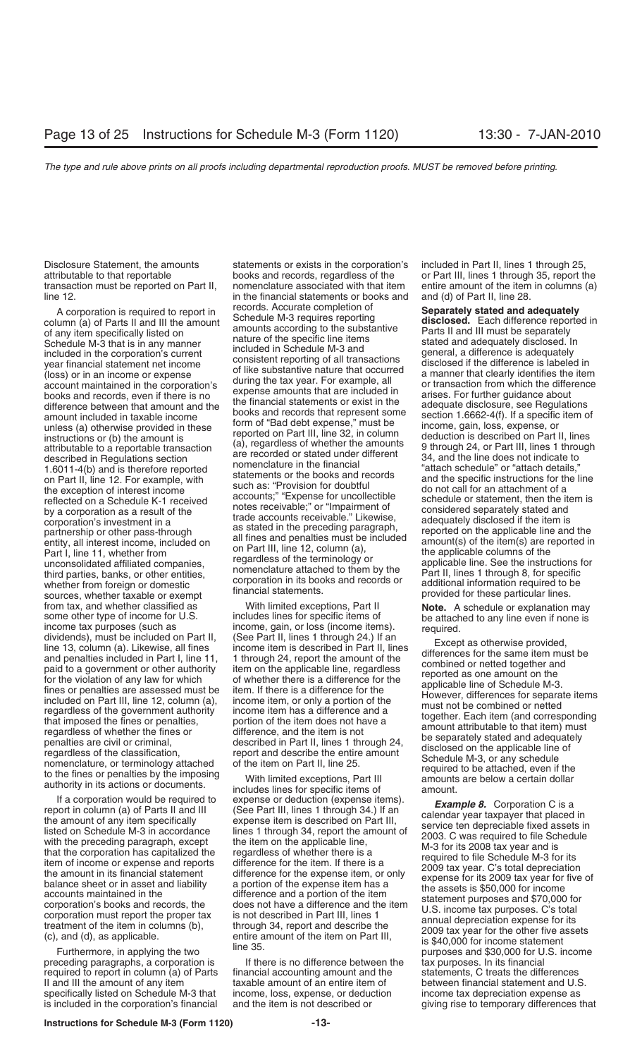Disclosure Statement, the amounts statements or exists in the corporation's included in Part II, lines 1 through 25,

interventional companies,<br>third parties, banks, or other entities,<br>whether from foreign or domestic<br>sources, whether taxable or exempt financial statements.<br>sources, whether taxable or exempt financial statements. from tax, and whether classified as  $\frac{1}{2}$  with limited exceptions, Part III<br>some other type of income for U.S. includes lines for specific items of the attached to any line even if none is<br>income tax purposes (such as

preceding paragraphs, a corporation is There is no difference between the tax purposes. In its financial<br>
required to report in column (a) of Parts financial accounting amount and the statements, C treats the differences required to report in column (a) of Parts financial accounting amount and the II and III the amount of any item taxable amount of an entire item of between financial statement and U.S. specifically listed on Schedule M-3 that income, loss, expense, or deduction income tax depreciation expense as specifically listed on Schedule M-3 that income, loss, expense, or deduction is included in the corporation's financial and the item is not described or giving rise to temporary differences that

attributable to that reportable books and records, regardless of the or Part III, lines 1 through 35, report the transaction must be reported on Part II, nomenclature associated with that item entire amount of the item in columns (a) line 12.<br>
in the financial statements or books and and (d) of Part II, line 28.<br>
Connection is required to report in an example records. Accurate completion of **Separately stated and a** A corporation is required to report in<br>
column (a) of Parts II and III the amount<br>
of any item specifically listed on<br>
of any item specifically listed on<br>
of any item specifically listed on<br>
of any item specifically listed Columning in the amounts according to the substantive and iterative in the separation of any term specifically listed on<br>
Schedule M-3 and in any manner the increase in control in the corporation scurent included in Schedu

Fa corporation would be required to<br>
expense or deduction (expense items).<br>
Fa corporation C is a<br>
the amount of any item specifically<br>
the amount of any item specifically<br>
expense item is described on Part III,<br>
limes 1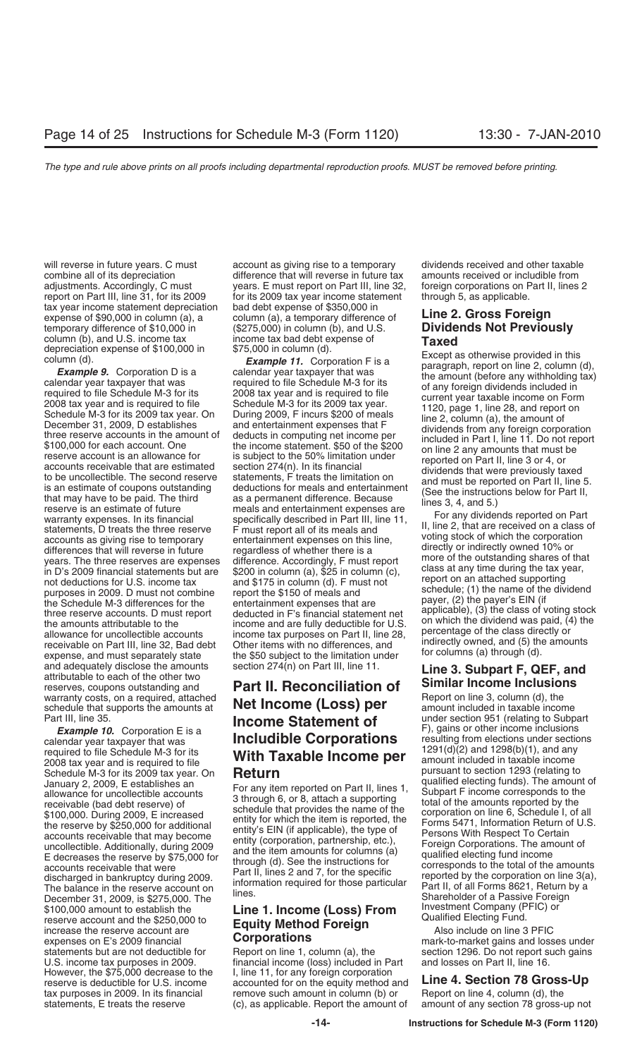tax year income statement depreciation<br>expense of \$90,000 in column (a), a

warranty expenses. In its financial<br>warranty expenses. In its financial<br>specifically described in Part III, line 11, line 15<br>statements, D treats the three reserver F must report all of its meals and<br>accounts as giving its and adequately disclose the amounts section 274(n) on Part III, line 11. **Line 3. Subpart F, QEF, and**<br>attributable to each of the other two<br>reserves coupons outstanding and **Dart II Reconciliation of Similar Income Inclus** reserves, coupons outstanding and **Part II. Reconciliation of Similar Income Inclusions** warranty costs, on a required, attached schedule that supports the amounts at **Net Income (Loss) per** amount included in taxable income

**Includible Corporations** resulting from elections under sections required to file Schedule M-3 for its<br>required to file Schedule M-3 for its<br>2008 tax year and is required to file required to file Schedule M-3 for its<br>
2008 tax year and is required to file **With Taxable Income per** amount included in taxable income<br>
Schedule M-3 for its 2009 tax year. On **Return** pursuant to section 1293 (relating t \$100,000 amount to establish the **Line 1. Income (Loss) From** Investment Company (PFIC) or<br>
reserve account and the \$250,000 to **Equity Method Foreign** Also include on line 3 PFIC<br> **Corporations** Companies expenses on E's 2009 financial **Corporations** mark-to-market gains and losses under However, the \$75,000 decrease to the

will reverse in future years. C must account as giving rise to a temporary dividends received and other taxable combine all of its depreciation difference that will reverse in future tax amounts received or includible from<br>adjustments. Accordingly, C must years. E must report on Part III, line 32, foreign corporations on Part II, li adjustments. Accordingly, C must years. E must report on Part III, line 32, foreign corporations on Part II, lines 2<br>
report on Part III, line 31, for its 2009 for its 2009 tax year income statement through 5, as applicabl for its 2009 tax year income statement through 5, as applicable.<br>bad debt expense of \$350,000 in column (a), a temporary difference of **Line 2. Gross Foreign**<br>(\$275,000) in column (b), and U.S. **Dividends Not Previously** 

temporary difference of \$10,000 in (\$275,000) in column (b), and U.S.<br>
column (b), and U.S. throme tax bad of express of  $\bullet$  throme tax bad debt expense of  $\bullet$  to depreciation expense of \$100,000 in \$75,000 in column (d

# Part III, line 35.<br>**Income Statement of** ander section 951 (relating to Subpart **Example 10.** Corporation E is a **Income Statement of** F), gains or other income inclusions

statements but are not deductible for Report on line 1, column (a), the section 1296. Do not report such gains U.S. income tax purposes in 2009. Financial income (loss) included in Part and losses on Part II, line 16.<br>However, the \$75,000 decrease to the I, line 11, for any foreign corporation reserve is deductible for U.S. income<br>tax purposes in 2009. In its financial remove such amount in column (b) or Report on line 4, column (d), the remove such amount in column (b) or

F), gains or other income inclusions<br>resulting from elections under sections Schedule M-3 for its 2009 tax year. On **Return**<br>January 2, 2009, E establishes an **Return pursuant to section 1293** (relating to section 1293 (relating to January 2, 2009, E establishes an<br>
Identity of any item reported on Part II, lines 1,<br>
receivable that provides the amporting<br>
schedule that provides the name of the<br>
schedule that provides the name of the<br>
schedule that p

statements, E treats the reserve (c), as applicable. Report the amount of amount of any section 78 gross-up not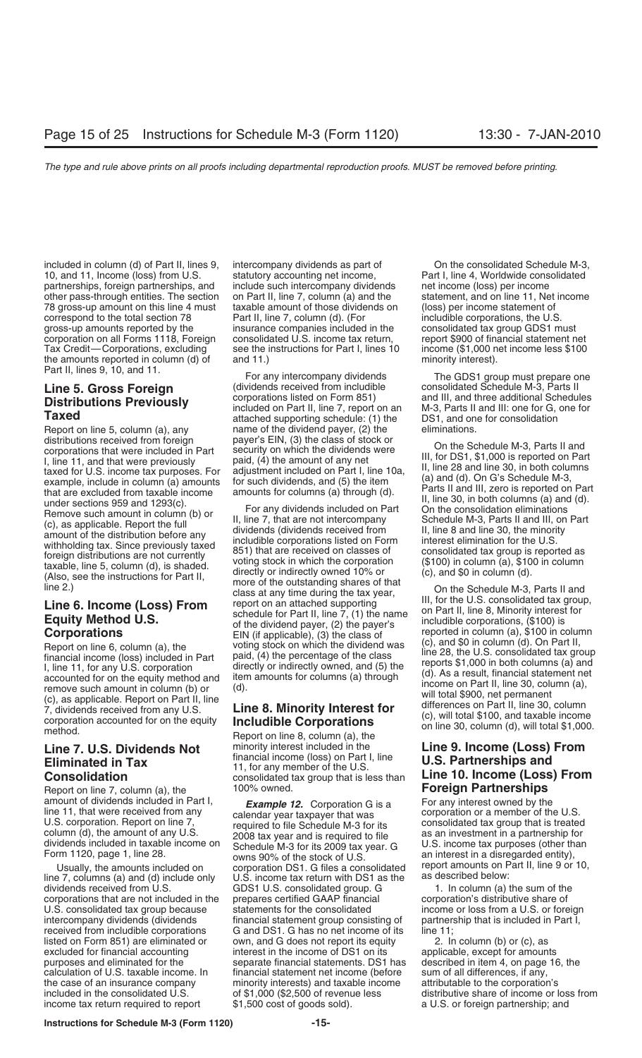included in column (d) of Part II, lines 9, intercompany dividends as part of On the consolidated Schedule M-3, 10, and 11, Income (loss) from U.S. statutory accounting net income, Part I, line 4, Worldwide consolidated partnerships, foreign partnerships, and include such intercompany dividends net income (loss) per income other pass-through entities. The section on Part II, line 7, column (a) and the statement, and on line 11, Net income 78 gross-up amount on this line 4 must taxable amount of those dividends on (loss) per income statement 78 gross-up amount on this line 4 must taxable amount of those dividends on (loss) per income statement of correspond to the total section 78 Part II, line 7, column (d). (For includible corporations, the U.S. correspond to the total section 78 gross-up amounts reported by the insurance companies included in the consolidated tax group GDS1 must corporation on all Forms 1118, Foreign consolidated U.S. income tax return, report \$900 of financial statement net<br>Tax Credit—Corporations, excluding see the instructions for Part I, lines 10 income (\$1,000 net income less Tax Credit—Corporations, excluding the amounts reported in column (d) of and 11.) minority interest).<br>Part II, lines 9, 10, and 11.

Report on line 7, column (a), the 100% owned. **Foreign Partnerships** amount of dividends included in Part I, *Example 12.* Corporation G is a For any interest owned by the line 11, that were received from any calendar vear taxnaver that was corporation or a member of the U.S.

line 7, columns (a) and (d) include only dividends received from U.S. GDS1 U.S. consolidated group. G 1. In column (a) the sum of the corporations that are not included in the prepares certified GAAP financial corporation's distributive share of U.S. consolidated tax group because statements for the consolidated income or loss from a U.S. or foreign intercompany dividends (dividends financial statement group consisting of partnership that is included in Part I, received from includible corporations G and DS1. G has no net income of its line 11; listed on Form 851) are eliminated or excluded for financial accounting interest in the income of DS1 on its applicable, except for amounts purposes and eliminated for the separate financial statements. DS1 has described in item 4, on page 16, the calculation of U.S. taxable income. In financial statement net income (before sum of all differences, if any, the case of an insurance company minority interests) and taxable income attributable to the corporation's included in the consolidated U.S. of \$1,000 (\$2,500 of revenue less distributive share of income or l

For any intercompany dividends The GDS1 group must prepare one<br>
(dividends received from includible consolidated Schedule M-3, Parts II **Line 5. Gross Foreign** (dividends received from includible consolidated Schedule M-3, Parts II<br> **Distributions Proviously** corporations listed on Form 851) and III, and three additional Schedules **Distributions Previously** corporations listed on Form 851) and III, and three additional Schedules<br>included on Part II, line 7, report on an M-3, Parts II and III: one for G, one for<br>attached supporting schedule: (1) the Report on line 5, column (a), any hame of the dividend payer, (2) the eliminations.<br>
distributions received from foreign payer's EIN, (3) the class of stock or

distributions received from horeign payers EIN, (3) the class of stock or The Schedule M-3, Parts II and that were previously paid, (4) the amount of any net III, for DS1, S1,000 is eported on Part<br>taxed for U.S. income ta

Line 7. U.S. Dividends Not<br>
Eliminated in Tax the studies of the U.S.<br>
Consolidation Consolidation<br>
Consolidation<br>
Consolidation<br>
Consolidation<br>
Consolidation<br>
Consolidation<br>
Consolidation<br>
Consolidation<br>
Consolidation<br>
Co **Consolidation** consolidated tax group that is less than **Line 10. Income (Loss) From**

line 11, that were received from any calendar year taxpayer that was<br>U.S. corporation. Report on line 7, required to file Schedule M-3 for its consolidated tax group that is treated<br>column (d), the amount of any U.S. 2008 dividends included in taxable income on Schedule M-3 for its 2009 tax year. G U.S. income tax purposes (other than Form 1120, page 1, line 28. owns 90% of the stock of U.S. an interest in a disregarded entity),<br>corporation DS1 G files a consolidated report amounts on Part II, line 9 or 10, Usually, the amounts included on corporation DS1. G files a consolidated report amounts on P<br>e 7, columns (a) and (d) include only U.S. income tax return with DS1 as the as described below: received from includible corporations G and DS1. G has no net income of its line 11; financial statement net income (before sum of all differences, if any, income tax return required to report  $$1,500 \text{ cost of goods sold)}$ . a U.S. or foreign partnership; and

distributive share of income or loss from

### **Instructions for Schedule M-3 (Form 1120) -15-**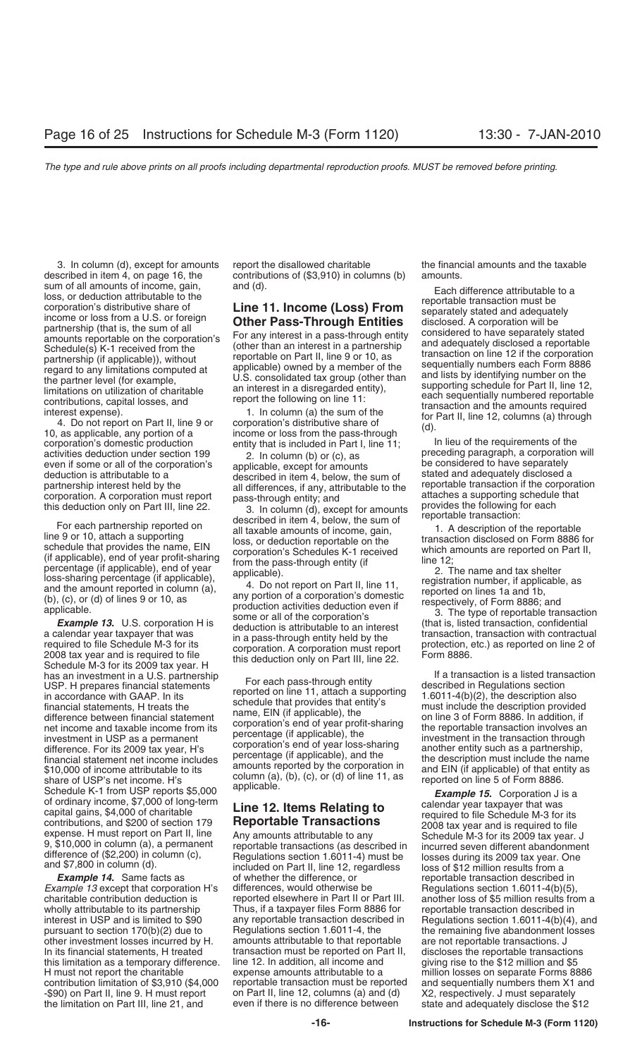described in item 4, on page 16, the contributions of  $(\$3,910)$  in columns (b) amounts. sum of all amounts of income, gain,<br>
loss, or deduction attributable to the<br>
corporation's distributable to the<br>
corporation's distributable to the<br>
partnership (that is, the sum of all<br>
amounts reportable on the corporati

10, as applicable, any portion of a entity that is included in Part I, line 11; In lieu of the requirements of the corporation's domestic production entity that is included in Part I, line 11; In lieu of the requirements

Schedule M-3 for its 2009 tax year. H<br>has an investment in a U.S. partnership<br>USP. H prepares financial statements<br>in accordance with GAAP. In its<br>financial statements. H treats the schedule that provides that entity's<br>fin in accolume that provides that entity's<br>
in the description provided<br>
difference between financial statement and taxbe the comporation's comporation's end of year profit-sharing<br>
in the description provided<br>
interesting th

*Example 13* except that corporation H's differences, would otherwise be Regulations section 1.6011-4(b)(5), charitable contribution deduction is reported elsewhere in Part II or Part III. another loss of \$5 million results from a wholly attributable to its partnership Thus, if a taxpayer files Form 8886 for reportable transaction described in interest in USP and is limited to \$90 any reportable transaction described in Regulations section 1.6011-4( interest in USP and is limited to \$90 any reportable transaction described in Regulations section 1.6011-4(b)(4), and pursuant to section 170(b)(2) due to Regulations section 1.6011-4, the temaining five abandonment losses pursuant to section 170(b)(2) due to Regulations section 1.6011-4, the the remaining five abandonment losses bregulations section 1.6011-4, the the remaining five abandonment losses ancurred by H. amounts attributable to t In its financial statements, H treated transaction must be reported on Part II, discloses the reportable transactions this limitation as a temporary difference. line 12. In addition, all income and and serving rise to the this limitation as a temporary difference. In anduition, all income and and giving rise to the \$12 million and \$5<br>19 expense amounts attributable to a million losses on separate Forms 88 H must not report the charitable expense amounts attributable to a million losses on separate Forms 8886 contribution limitation of \$3,910 (\$4,000 reportable transaction must be reported and sequentially numbers them X1 and report on Part II, line 9. H must report on Part II, line transaction must be reported transaction must -\$90) on Part II, line 9. H must report on Part II, line 12, columns (a) and (d) and (d) the line 21, and conte<br>the limitation on Part III, line 21, and seven if there is no difference between the limitation on Part III, line 21, and state and adequately disclose the  $$12$ 

3. In column (d), except for amounts report the disallowed charitable the financial amounts and the taxable

partnership interest held by the all differences, if any, attributable to the reportable transaction if the corporation. A corporation must report<br>this deduction only on Part III, line 22.<br>For each partnership reported on

loss-sharing percentage (if applicable),<br>
and the amount reported in column (a),<br>
(b), (c), or (d) of lines 9 or 10, as<br>
any portion of a corporation's domestic<br>
applicable.<br>
applicable.<br>
applicable.<br>
applicable transactio

**Example 14.** Same facts as of whether the difference, or **reportable transaction described in** amounts attributable to that reportable are not reportable transactions. J

Figure of the partner level (for example,<br>
the partner level (for example,<br>
limitations on utilization of charitable<br>
contributions, capital losses, and<br>
interest expense).<br>
4. Do not report on Part II, line 9 or<br>
4. Do no

activities deduction under section 199 2. In column (b) or (c), as preceding paragraph, a corporation will<br>even if some or all of the corporation's applicable, except for amounts be considered to have separately<br>described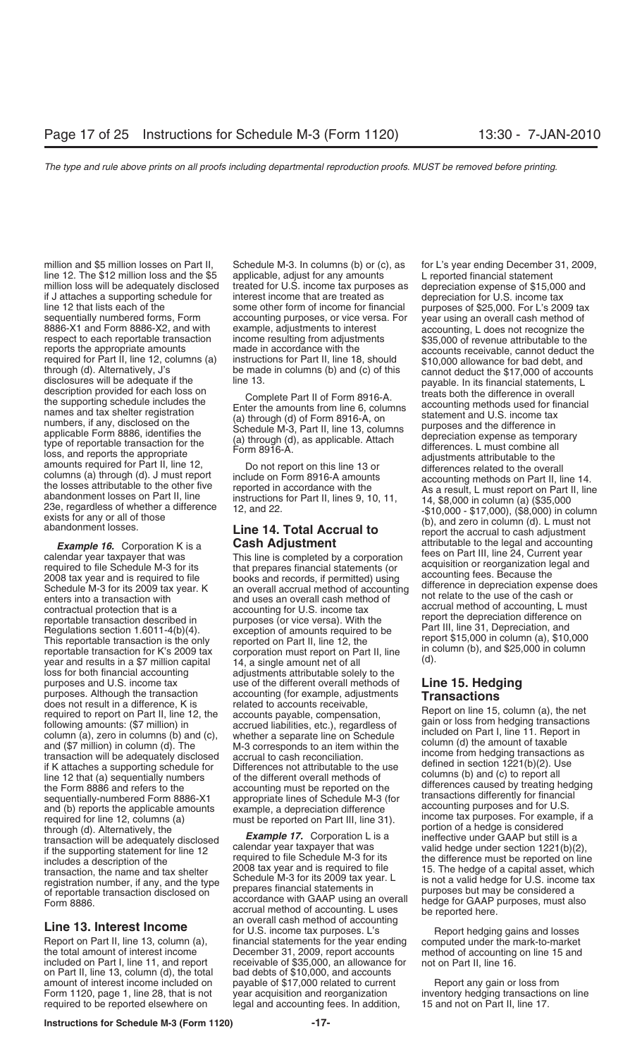reportable transaction described in exception of amounts required to be report the depreciation difference on<br>Regulations section 1.6011-4(b)(4). exception of amounts required to be Part III, line 31, Depreciation, and<br>Thi This reportable transaction is the only<br>
reported on Part II, line 12, the<br>
reportable transaction for K's 2009 tax<br>
year and results in a \$7 million capital 14, a single amount net of all (d).<br>
year and results in a \$7 m loss for both financial accounting adjustments attributable solely to the purposes and U.S. income tax use of the different overall methods of purposes and U.S. income tax use of the different overall methods of<br>does not result in a difference, K is celated to accounting (for example, adjustments and does not result in a difference, K is related to accounts payab through (d). Alternatively, the **Example 17.** Corporation L is a ineffective under GAAP but still is a transaction will be adequately disclosed **Example 17.** Corporation L is a ineffective under GAAP but still is a calenda if the supporting statement for line 12 calendar year taxpayer that was valid hedge under section 1221(b)(2),<br>includes a description of the supported on line<br>includes a description of the transaction, the name and tax shelter 2008 tax year and is required to file 15. The hedge of a capital asset, which<br>requistration number if any and the type Schedule M-3 for its 2009 tax year. L is not a valid hedge for U. registration number, if any, and the type Schedule M-3 for its 2009 tax year. Let us not a valid heater for U.S. income tax values of repares financial statements in of reportable transaction disclosed on prepares financial statements in purposes but may be considered a<br>Form 8886.

on Part II, line 13, column  $(d)$ , the total Form 1120, page 1, line 28, that is not

million and \$5 million losses on Part II, Schedule M-3. In columns (b) or (c), as for L's year ending December 31, 2009, line 12. The \$12 million loss and the \$5 applicable, adjust for any amounts L reported financial statement million loss will be adequately disclosed treated for U.S. income tax purposes as depreciation expense of \$15,000 and if J attaches a supporting schedule for interest income that are treated as depreciation for U.S. income if J attaches a supporting schedule for interest income that are treated as depreciation for U.S. income tax income tax some other form of income for financial purposes of \$25,000. For L's 200 line 12 that lists each of the some other form of income for financial purposes of \$25,000. For L's 2009 tax<br>Sequentially numbered forms, Form saccounting purposes, or vice versa. For year using an overall cash method of sequentially numbered forms, Form accounting purposes, or vice versa. For year using an overall cash method of<br>8886-X1 and Form 8886-X2, and with example, adjustments to interest accounting. L does not recognize the 8886-X1 and Form 8886-X2, and with example, adjustments to interest accounting, L does not recognize the respect to each reportable transaction income resulting from adjustments  $$35,000$  of revenue attributable to the rep reports the appropriate amounts made in accordance with the accounts receivable, cannot deduct the required for Part II, line 12, columns (a) instructions for Part II, line 18, should \$10,000 allowance for bad debt, and

required to file Schedule M-3 for its fore the difference must be reported on line<br>2008 tax year and is required to file fore the redge of a capital asset, which Form 8886.<br>
Form 8886.<br>
Line 13. Interest Income to the coverall cash method of accounting. Luses be reported here.<br>
Line 13. Interest Income to an overall cash method of accounting<br>
for U.S. income tax purposes. L's Repor Report on Part II, line 13, column (a), financial statements for the year ending computed under the mark-to-market the total amount of interest income December 31, 2009, report accounts method of accounting on line 15 and the total amount of interest income December 31, 2009, report accounts method of accounting on line 15 and included on Part I, line 11, and report receivable of \$35,000, an allowance for not on Part II, line 16.<br>
on Part I amount of interest income included on payable of \$17,000 related to current Report any gain or loss from<br>Form 1120, page 1, line 28, that is not year acquisition and reorganization inventory hedging transactions on line required to be reported elsewhere on legal and accounting fees. In addition, 15 and not on Part II, line 17.

required for Part II, line 12, columns (a) instructions for Part II, line 18, should<br>disclosures will be adequate if the<br>disclosures will be adequate if the<br>disclosures will be adequate if the<br>disclosures will be adequate **Example 16.** Corporation K is a<br>calendar year taxpayer that was<br>required to file Schedule M-3 for its<br>2008 tax year and is required to file<br>Schedule M-3 for its<br>3 for its<br>3 for its<br>3 for its<br>3 for its<br>3 for its<br>3 for its<br>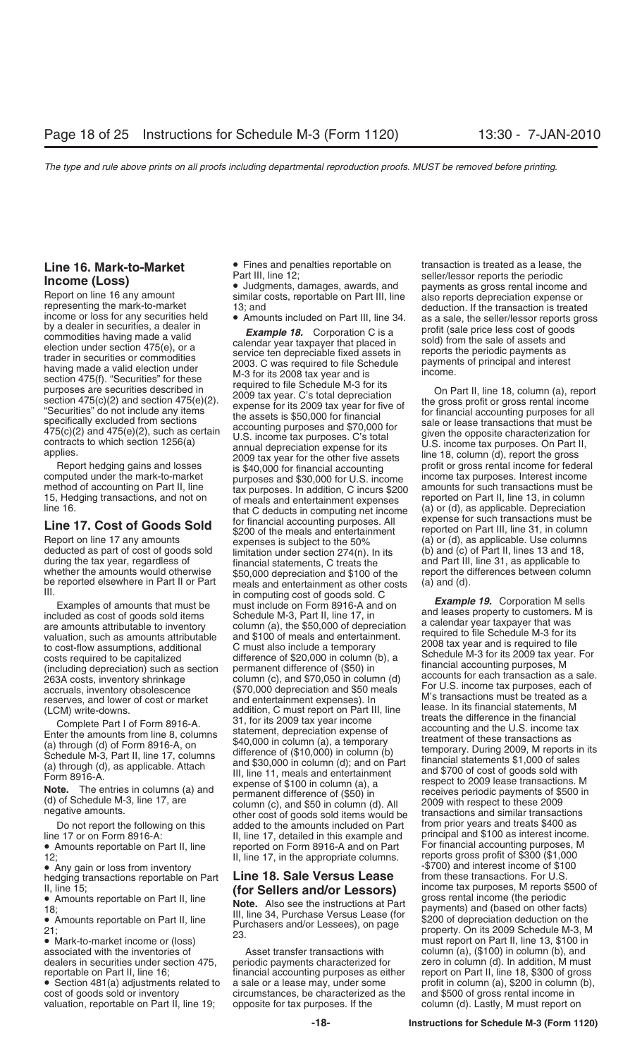• Any gain or loss from inventory<br>hedging transactions reportable on Part Line 18. Sale Versus Lease from these transactions. For U.S.

associated with the inventories of **Asset transfer transactions with** column (a), (\$100) in column (b), and dealers in securities under section 475, periodic payments characterized for zero in column (d). In addition, M mu

valuation, reportable on Part II, line 19; opposite for tax purposes. If the

income or loss for any securities, a dealer in<br>
by a dealer in securities, a dealer in<br>
by a dealer in securities, a dealer in<br>
example 18. Corporation Case and dealer in securities having made a valid<br>
election under<br>
ele For financial accounting purposes. All expense for such transactions must be<br> **Line 17. Cost of Goods Sold** for financial accounting purposes. All expense for such transactions must be<br>
Report on line 17 any amounts expens Report on line 17 any amounts expenses is subject to the  $50\%$  (a) or (d), as applicable. Use columns deducted as part of cost of goods sold limitation under section  $274(n)$  In its (b) and (c) of Part II, lines 13 and 18 deducted as part of cost of goods sold<br>during the tax year, regardless of financial statements, C treats the during the tax year, regardless of financial statements, C treats the amounts would otherwise<br>whether the amount whether the amounts would otherwise  $$50,000$  depreciation and \$100 of the report the differences be reported elsewhere in Part II or Part meals and entertainment as other costs (a) and (d). be reported elsewhere in Part II or Part meals and entertainment as other costs (III. III. in computing cost of goods sold. C<br>
included as cost of goods sold items<br>
included as cost of goods sold items<br>
schedule M-3, Part II, line 17, in<br>
are amounts attributable to inventory<br>
valuation, such as amounts att Good required to be capitalized<br>
(including depreciation) such as section<br>
263A costs, inventory shrinkage column (c), and \$70,050 in column (d)<br>
accounts for each transaction as a sale.<br>
For U.S. income tax purposes, each reserves, and lower of cost or market and entertainment expenses). In the stransactions must be treated as addition, C must report on Part III, line lease. In its financial statements, M<br>Complete Part Lof Form 8916-4 31, f Complete Part I of Form 8916-A. 31, for its 2009 tax year income<br>
Enter the amounts from line 8, columns<br>
(a) through (d) of Form 8916-A, on<br>
Schedule M-3, Part II, line 17, columns<br>
(a) through (d), as applicable. Attach<br> galive amounts.<br>Do not report the following on this added to the amounts included on Part from prior years and treats \$400 as line 17 or on Form 8916-A: II, line 17, detailed in this example and principal and \$100 as interest income. • Amounts reportable on Part II, line reported on Form 8916-A and on Part For financial accounting purposes, M<br>I line 17 in the appropriate columns reports gross profit of \$300 (\$1,000

dealers in securities under section 475, periodic payments characterized for zero in column (d). In addition, M must<br>reportable on Part II, line 16; financial accounting purposes as either report on Part II, line 18, \$300 financial accounting purposes as either • Section 481(a) adjustments related to a sale or a lease may, under some profit in column (a), \$200 in column (b), cost of goods sold or inventory circumstances, be characterized as the and \$500 of gross rental income in circumstances, be characterized as the and \$500 of gross rental income in<br>opposite for tax purposes. If the column (d). Lastly, M must report on

**Line 16. Mark-to-Market** • Fines and penalties reportable on transaction is treated as a lease, the periodic<br>Part III, line 12;<br>**Income (I, coo)** Part III, line 12; **Income (Loss)**<br> **Part III**, line 12;<br> **Part III**, line 12;<br> **Part III**, line 12;<br>
also reports as gross rental income and<br>
Report on line 16 any amount<br>
representing the mark-to-market interval and<br>
representing the mark-

12; ID; II, line 17, in the appropriate columns. Teports gross profit of \$300 (\$1,000<br>The appropriate columns. reports gross profit of \$300 (\$1,000 → \$700) and interest income of \$100 hedging transactions reportable on Part **Line 18. Sale Versus Lease** from these transactions. For U.S.<br>II. line 15: **for Sellers and/or Lessors** income tax purposes, M reports \$500 of II, line 15;<br>
• Amounts reportable on Part II, line<br>
• Amounts reportable on Part II, line<br>
• Amounts reportable on Part II, line<br>
• Amounts reportable on Part II, line<br>
• Mark-to-market income or (loss)<br>
• Mark-to-market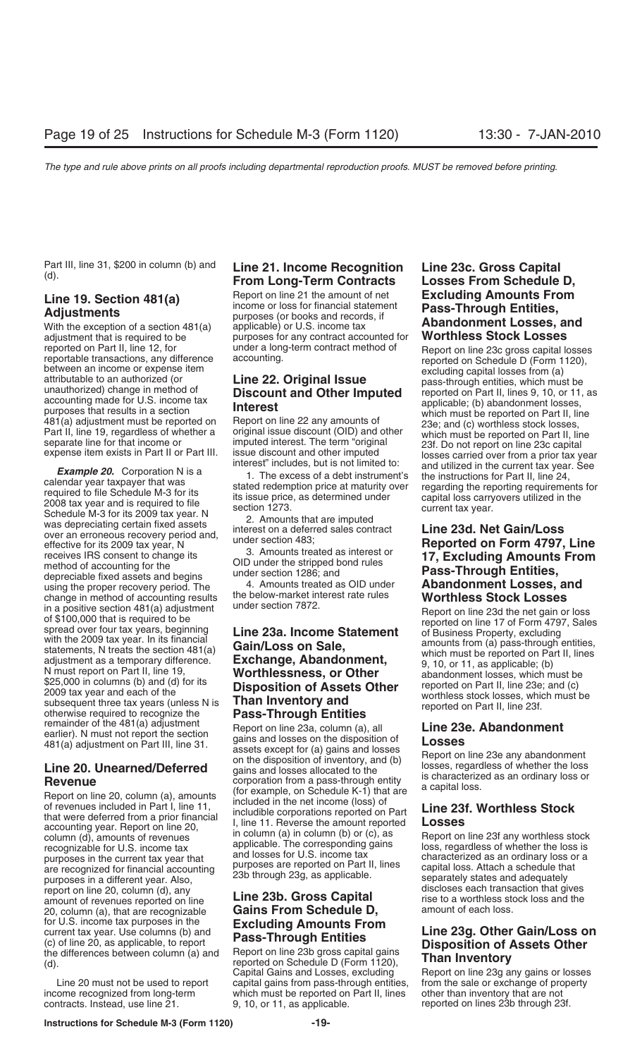effective for its 2009 tax year, N<br>
receives IRS consent to change its<br>
method of accounting for the UD under the stripped bond rules<br>
depreciable fixed assets and begins under section 1286; and<br>
Mass-Through Entities, depreciable fixed assets and begins<br>using the proper recovery period. The 4. Amounts treated as OID under **Abandonment Losses, and**<br>change in method of accounting results the below-market interest rate rules **Worthless Sto** change in method of accounting results<br>
of \$100,000 that is required to be<br>
spread over four tax years, beginning<br>
spread over four tax years, beginning<br>
spread over four tax years, beginning<br>
spread over four tax years, b

that were deferred from a prior financial includible corporations reported on Part<br>
that were deferred from a prior financial I, line 11. Reverse the amount reported **Losses**<br>
accounting year. Report on line 20,<br>
column (d column (d), amounts of revenues<br>
recognizable for U.S. income tax<br>
purposes in the current tax year that<br>
purposes in a different year. Also, and losses for U.S. income tax<br>
purposes are reported on Part II, lines<br>
purpose purposes in a different year. Also,<br>
report on line 20, column (d), any **Line 23b. Gross Capital** discloses each transaction that gives<br>
amount of revenues reported on line **Line 23b. Gross Capital** rise to a worthless sto amount of revenues reported on line **Line 23b. Gross Capital** rise to a worthless stock and the **Cains From Schedule D.** And the and the stock loss. 20, column (a), that are recognizable for U.S. income tax purposes in the for U.S. income tax purposes in the **Excluding Amounts From**<br>
current tax year. Use columns (b) and **Pass-Through Entities Line 23g. Other Gain/Loss on**<br>
(c) of line 20, as applicable, to report<br>
the differences between

# Part III, line 31, \$200 in column (b) and **Line 21. Income Recognition Line 23c. Gross Capital** (d). **From Long-Term Contracts Losses From Schedule D,**

**Line 19. Section 481(a)** Report on line 21 the amount of net **Excluding Amounts From**<br> **Adjustments Adjustments** income or loss for financial statement **Adjustments** entitled by purposes (or books and records, if With the exception of a section 481(a) applicable) or U.S. income tax **Abandonment Losses, and**<br>adjustment that is required to be purposes for any contract accounted for **Worthless Stock Losses** adjustment that is required to be purposes for any contract accounted for **reported** on Part II, line 12, for **Worth** under a long-term contract method of

Fracta district report the section<br>
481(a) adjustment on Part III, line 31.<br> **Line 20. Unearned/Deferred**<br> **Revenue**<br>
Report on line 23e any abandonment<br> **COSSES**<br> **COSSES**<br>
Report on line 23e any abandonment<br>
on the dispo

reported on Schedule D (Form 1120),<br>
Capital Gains and Losses, excluding Report on line 23g any gains or losses<br>
Line 20 must not be used to report capital gains from pass-through entities, from the sale or exchange of pro Line 20 must not be used to report capital gains from pass-through entities, from the sale or exchange of pro<br>income recognized from long-term which must be reported on Part II, lines other than inventory that are not income recognized from long-term which must be reported on Part II, lines contracts. Instead, use line 21. 9, 10, or 11, as applicable. 9, 10, or 11, as applicable. reported on lines 23b through 23f.

reportable transmissions, any difference<br>
reportable transactions, any difference<br>
reportable transactions, any difference<br>
accounting.<br>
accounting accounting excluding capital losses from 120),<br>
antibutable to an authori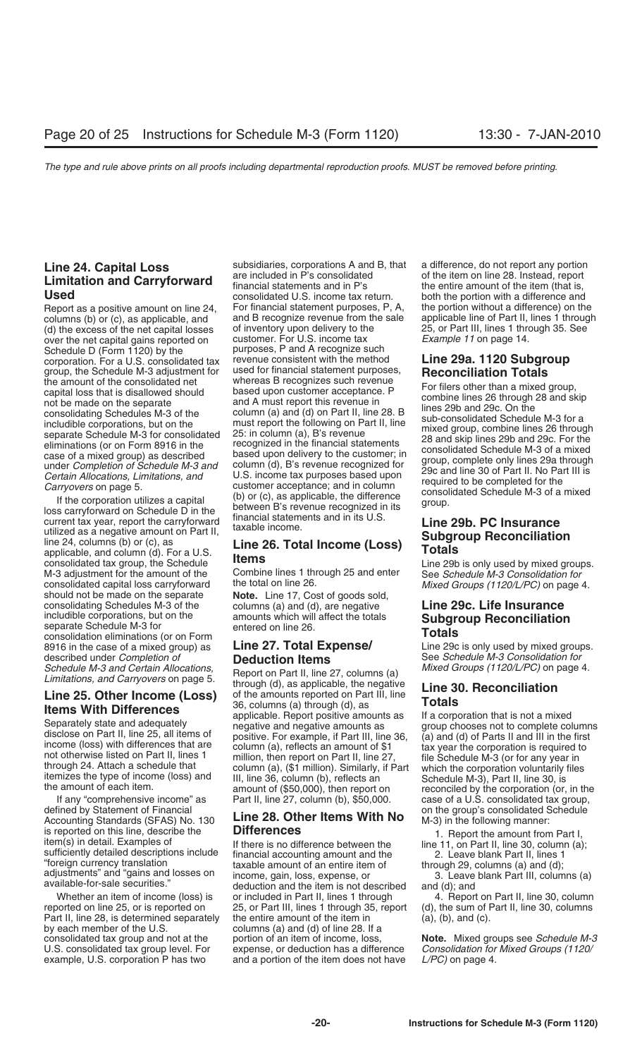columns (b) or (c), as applicable, and and B recognize revenue from the sale applicable line of Part II, lines 1 throug<br>(d) the excess of the net capital losses of inventory upon delivery to the 25, or Part III, lines 1 th (d) the excess of the net capital losses of inventory upon delivery to the 25, or Part III, lines 1 through 35<br>over the net capital gains reported on customer. For U.S. income tax Example 11 on page 14. over the net capital gains reported on Schedule D (Form 1120) by the purposes, P and A recognize such<br>corporation For a U.S. consolidated tax revenue consistent with the method corporation. For a U.S. consolidated tax revenue consistent with the method **Line 29a. 1120 Subgroup** group, the Schedule M-3 adjustment for used for financial statement purposes, **Reconciliation Totals**<br>the amount of the consolidated net whereas B recognizes such revenue

M-3 adjustment for the amount of the Combine lines 1 through 25 and enter See *Schedule M-3 Consolidation for*<br>Consolidated capital loss carryforward the total on line 26. Mixed Groups (1120/L/PC) on page 4 consolidated capital loss carryforward the total on line 26. *Mixed Groups (1120/L/PC)* on page 4. should not be made on the separate **Note.** Line 17, Cost of goods sold,<br>
consolidating Schedules M-3 of the columns (a) and (d), are negative **Line 29c. Life Insurance**<br>
includible corporations, but on the amounts which wi Includible corporations, but on the amounts which will affect the totals **Subgroup Reconciliation**<br>
separate Schedule M-3 for entered on line 26.<br> **Totals Totals** consolidation eliminations (or on Form<br>8916 in the case of a mixed group) as **Line 27. Total Expense/** described under *Completion of* **Deduction Items** See *Schedule M-3 Consolidation for*<br>*Schedule M-3 and Certain Allocations*, **Depart on Part II, line 27, columna (o)** Mixed Groups (1120/L/PC) on page 4.

defined by Statement of Financial **Line 28. Other Items With No** on the group's consolidated Schedule Accounting Standards (SFAS) No. 130 **Line 28. Other Items With No** M-3) in the following manner: Accounting Standards (SFAS) No. 130 **LINE 28. Other**<br>is reported on this line, describe the **Differences** is reported on this line, describe the **Differences**<br>item(s) in detail. Examples of<br>sufficiently detailed descriptions include the strategy in the strategy of sufficiently detailed descriptions include<br>"foreign currency tr

reported on line 25, or is reported on 25, or Part III, lines 1 through 35, report (d), the sum of Part II, line 30, columns Part II, line 28, is determined separately the entire amount of the item in  $(a)$ , (b), and (c). by each member of the U.S. columns (a) and (d) of line 28. If a U.S. consolidated tax group level. For expense, or deduction has a difference *Consolidation for Mixed Groups (1120/* example, U.S. corporation P has two and a portion of the item does not have *L/PC)* on page 4.

**Line 24. Capital Loss** subsidiaries, corporations A and B, that a difference, do not report any portion<br>**Limitation and Countemused** are included in P's consolidated of the item on line 28. Instead, report **Limitation and Carryforward**<br> **Used**<br>
Report as a positive amount on line 24. For financial statements and in P's<br>
For financial statement purposes, P, A, the portion with a difference and<br>
Report as a positive amount on Report as a positive amount on line 24, For financial statement purposes, P, A, the portion without a difference) on the columns (b) or (c), as applicable, and and B recognize revenue from the sale applicable line of Part the amount of the consolidated net<br>
the mount of the consolidated net<br>
capital loos that is disallowed should<br>
not be made on the separate<br>
consolidating Schedules M-3 of and A must report this revenue in<br>
combine lines 2

Schedule M-3 and Certain Allocations,<br>
Limitations, and Carryovers on page 5. Heport on Part II, line 27, columns (a) Mixed Groups (1120/L/PC) on page 4.<br>
Line 25. Other Income (Loss) of the amounts reported on Part III, l **Example 19. Solution (EUSS)**<br> **Solution (A)** as the corporation that is not a mixed<br>
Separately state and adequately<br>
disclose on Part II, line 25, all items of<br>
income (loss) with differences that a model of the positive If any "comprehensive income" as case Part II, line 27, column (b), \$50,000. Case of a U.S. consolidated tax group,

Whether an item of income (loss) is or included in Part II, lines 1 through 4. Report on Part II, line 30, column

Line 29c is only used by mixed groups.

consolidated tax group and not at the portion of an item of income, loss, **Note.** Mixed groups see *Schedule M-3*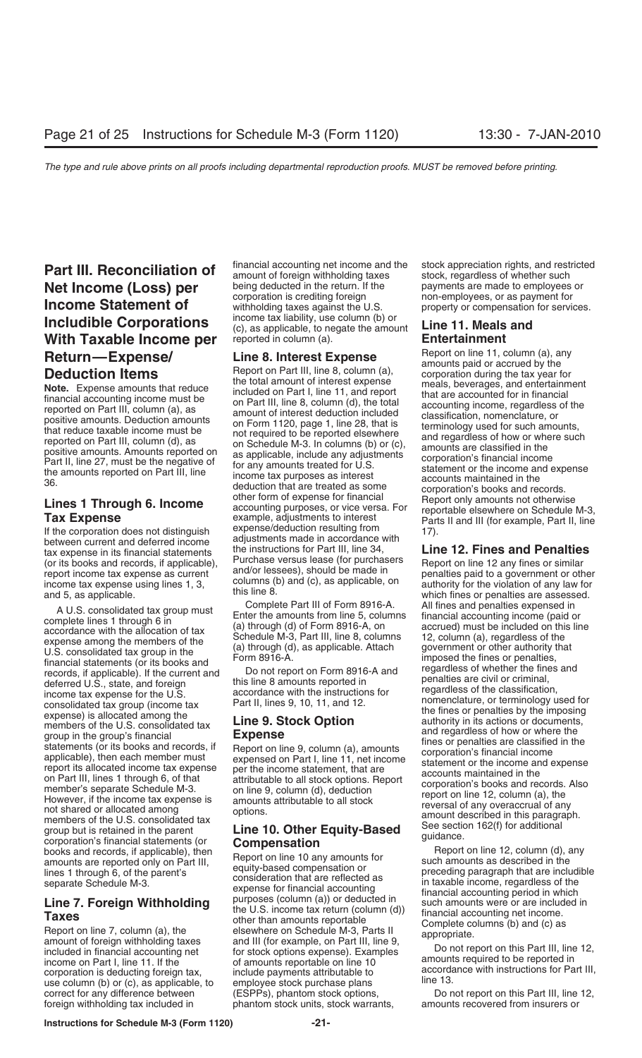# **With Taxable Income per** reported in column (a). **Entertainment**<br> **Daturn**—Evnense/ **Line 8** Interest Evnense Report on line 11, column (a), any

(or its books and records, if applicable),<br>report income tax expense as current and/or lessees), should be made in<br>income tax expense using lines 1, 3,<br>and 5, as applicable.<br>and 5, as applicable.<br>and 5, as applicable.

A U.S. consolidated tax group must<br>
complete Part III of Form 8916-A. All fines and penalties expensed in<br>
complete lines 1 through 6 in<br>
accrude) must form line 5, columns<br>
accrude) must be included on this line<br>
expense mombs the control of the books and records. If appear the properties of the original and regardless of how or where the applicable), then each member must<br>applicable), then each member must<br>applicable), then each member mu

**Part III. Reconciliation of** financial accounting net income and the stock appreciation rights, and restricted amount of foreign withholding taxes stock, regardless of whether such **Net Income (Loss) per** being deducted i **Net Income (Loss) per** being deducted in the return. If the payments are made to employees corporation is crediting foreign non-employees, or as payment for **Income Statement of** withholding taxes against the U.S. property or compensation for services.<br> **Includible Corporations** income tax liability, use column (b) or  $\cdot$ ,  $\cdot$ ,  $\cdot$ ,  $\cdot$ ,  $\cdot$ ,  $\cdot$ Includible Corporations throme tax liability, use column (b) or **Includible Corporations** (c), as applicable, to negate the amount **Line 11. Meals and**<br>With Taxable Income per reported in column (a). **Entertainment** 

If the corporation does not distinguish example, adjustments to interest parts II and III (for example, Part II, line<br>
If the corporation does not distinguish expense/deduction resulting from 17).<br>
between current and defe tax expense in its financial statements the instructions for Part III, line 34, **Line 12. Fines and Penalties**<br>(or its books and records, if applicable), Purchase versus lease (for purchasers Report on line 12 any fines or

correct for any difference between (ESPPs), phantom stock options, Do not report on this Part III, line 12, foreign withholding tax included in phantom stock units, stock warrants, amounts recovered from insurers or

**Reference to the control of the sumpler of the control of the total amount to the total amount of the total amount of the total amount of the total amount of the total amount of the total amount of the total amount of the**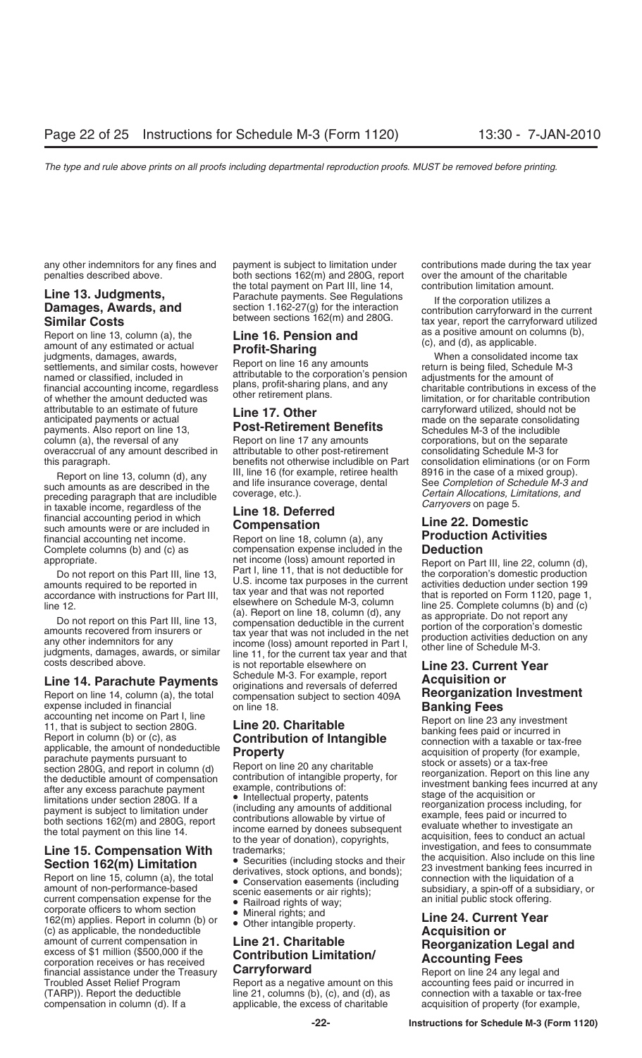any other indemnitors for any fines and payment is subject to limitation under contributions made during the tax year penalties described above. both sections 162(m) and 280G, report over the amount of the charitable

Report on line 13, column (a), the **Line 16. Pension and** as a positive amount on columns (b),<br>
inte a consolidated or actual<br>
inte **Profit-Sharing**<br>
inte a consolidated income tax<br>
inten a consolidated income tax<br>
settlem attributable to an estimate of future **Line 17. Other** carryforward utilized, should not be anticipated payments or actual made on the separate consolidating payments. Also report on line 13,<br> **Post-Retirement Benefits**<br>
Column (a), the reversal of any Report on line 17 any amounts corporations, but on the separat

Report on line 13, column (d), any<br>such amounts as are described in the<br>preceding paragraph that are includible<br>in taxable income, regardless of the<br>financial accounting period in which<br>such amounts were or are included in such amounts were or are included in<br>
financial accounting net income.<br>
Report on line 18, column (a), any **Production Activities**<br>
Complete columns (b) and (c) as compensation expense included in the **Deduction** Complete columns (b) and (c) as compensation expense included in the appropriate.<br>
net income (loss) amount reported in

amount of current compensation in<br>
excess of \$1 million (\$500,000 if the<br>
corporation receives or has received<br>
financial assistance under the Treasury<br> **Carryforward**<br> **Carryforward**<br> **Carryforward**<br> **Carryforward**<br> **Carr** financial assistance under the Treasury **Carryforward**<br>Troubled Asset Relief Program **Report as a negative amount on this** Troubled Asset Relief Program Report as a negative amount on this accounting fees paid or incurred in<br>(TARP)). Report the deductible line 21, columns (b), (c), and (d), as connection with a taxable or tax-fre compensation in column (d). If a applicable, the excess of charitable acquisition of property (for example,

Line 13. Judgments,<br> **Damages, Awards, and** entity and the total payments. See Regulations<br> **Damages, Awards, and** section 1.162-27(g) for the interaction the corporation utilizes a<br>
Similar Costs between sections 162(m) a

column (a), the reversal of any **Report on line 17** any amounts corporations, but on the separate overaccrual of any amount described in attributable to other post-retirement consolidating Schedule M-3 for overaccrual of any amount described in attributable to other post-retirement consolidating Schedule M-3 for this paragraph. benefits not otherwise includible on Part consolidation elimination elimination elimination eli

appropriate. The metric one (loss) amount reported in<br>
Do not report on this Part III, line 13,<br>
amounts required to be reported in<br>
accordance with instructions for Part III, line 13,<br>
the corporation's domestic productio Line 14. Parachute Payments<br>
Report on line 14, column (a), the total compensation subject to section 409A **Reorganization** Report on line 14, column (a), the total compensation subject to section 409A **Reorganization Investment**<br>expense included in financial on line 18.<br>**Banking Fees** 

- 
- 
- 
- 

expense included in financial<br>accounting net income on Part I, line to account of the control account of the control account of the control account of the anisometic of the anisometic members and denoted the particle parac

connection with a taxable or tax-free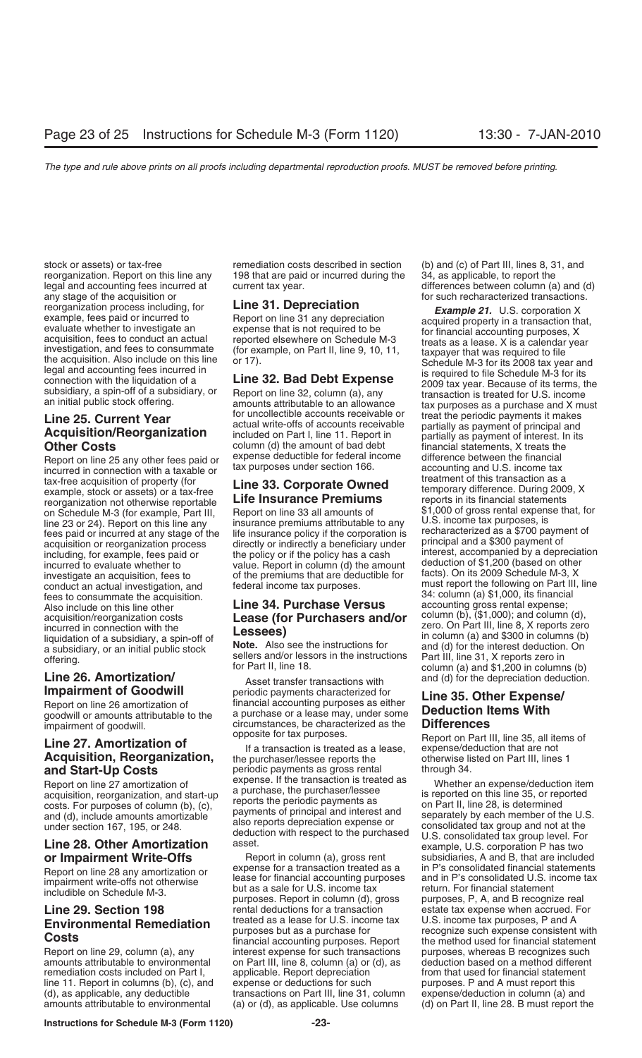stock or assets) or tax-free remediation costs described in section (b) and (c) of Part III, lines 8, 31, and reorganization. Report on this line any 198 that are paid or incurred during the 34, as applicable, to report the legal and accounting fees incurred at current tax year. The differences between column (a) and (d) any stage of the acquisition or<br>
reorganization process including, for **Line 31. Depreciation Example 21.** LIS corporation X

incurred in connection with a taxable or the purposes under section 166. The accounting and U.S. income tax in<br>tex-free acquisition of property (for the subsection of the subsection as a tax-free acquisition of property (for  $\frac{1}{2}$  Line 33. Corporate Owned the atment of this transaction as a temporary difference. During 2009, X ree acquisition of property (for **Line 33. Corporate Owned** temporary difference. During 200<br>example, stock or assets) or a tax-free **Life Insurance Premiums** reports in its financial statements Example, stock of assets) of a tax free<br> **Life Insurance Premiums** reports in its financial statements<br>
on Schedule M-3 (for example, Part III, Report on line 33 all amounts of \$1,000 of gross rental expense that, for on Schedule M-3 (for example, Part III, Report on line 33 all amounts of \$1,000 of gross rental expense that, for<br>line 23 or 24). Report on this line any insurance premiums attributable to any U.S. income tax purposes, is<br> directly or indirectly a beneficiary under principal and a \$300 payment of acquisition or reorganization process directly or indirectly a beneficiary under principal and a \$300 payment of including, for example, fees paid including, for example, fees paid or the policy or if the policy has a cash incurred to evaluate whether to value. Report in column (d) the amount deduction of \$1,200 (based on other investigate an acquisition fees to of t investigate an acquisition, fees to of the premiums that are deductible for federal income tax purposes.<br>
The Steven on this line of the acquisition.<br>
Also include on this line other **Line 34. Purchase Versus** accounting gross rental expense; Also include on this line other **Line 34. Purchase Versus** accounting gross rental expense;<br>acquisition/reorganization costs **Lease (for Purchasers and/or** column (b), (\$1,000); and column (d),

Other Costs<br>
Report on line 25 any other fees paid or expense deductible for federal income difference between the financial<br>
incurred in connection with a taxable or tax purposes under section 166. accounting and U.S. inc

**Line 26. Amortization/** Asset transfer transactions with and (d) for the depreciation deduction.<br> **Impairment of Goodwill** environce periodic payments characterized for **and and (d)** for **all of the symphone Impairment of Goodwin**<br> **Impairment of Goodwill**<br>
Report on line 26 amortization of financial accounting purposes as either<br> **Coodwill or amounts attributable to the** a purchase or a lease may, under some **Deduction Items** goodwill or amounts attributable to the a purchase or a lease may, under some **Deduction It**<br>impairment of goodwill circumstances, be characterized as the **Differences** impairment of goodwill. circumstances, be characterized as the **Difference** of the **Proposite** for tax purposes.

**and Start-Up Costs** periodic payments as gross rental through 34.<br> **Expense.** If the transaction is treated as *Whether* 

Report on line 28 any amortization or expense for a transaction treated as a in P's consolidated financial statements<br>impairment write-offs not otherwise but as a sale for U.S. income tax<br>includible on Schedule M-3. <br>purpo **Line 29. Section 198** rental deductions for a transaction estate tax expense when accrued. For relation treated as a lease for U.S. income tax U.S. income tax purposes, P and A Report on line 29, column (a), any interest expense for such transactions purposes, whereas B recognizes such amounts attributable to environmental on Part III, line 8, column (a) or (d), as deduction based on a method different remediation costs included on Part I, applicable. Report depreciation from that used for financial statement line 11. Report in columns (b), (c), and expense or deductions for such purposes. P and A must report this (d), as applicable, any deductible transactions on Part III, line 31, column expense/deduction in column (a) and (d), as applicable, any deductible transactions on Part III, line 31, column amounts attributable to environmental  $(a)$  or (d), as applicable. Use columns

Example 21. U.S. corporation<br>
example, fees paid of incourred to<br>
example 21. U.S. corporation X<br>
example 21. U.S. corporation X<br>
example 21. U.S. corporation X<br>
acquisition, fees to conduct an actual<br>
acquisition, fees to acquisition/reorganization costs<br>incurred in connection with the<br>liquidation of a subsidiary, a spin-off of<br>a subsidiary, or an initial public stock<br>offering.<br>of Purchasers and/or<br>a subsidiary, or an initial public stock<br>o

**Line 27. Amortization of** opposite for tax purposes.<br>If a transaction is treated as a lease, expense/deduction that are not<br>**Acquisition, Reorganization,** the purchaser/lessee reports the otherwise listed on Part III, lin

Report on line 27 amortization of a purchase. If the transaction is treated as<br>acquisition, reorganization, and start-up a purchase, the purchaser/lessee<br>costs. For purposes of column (b), (c),<br>and (d), include amounts amo **or Impairment Write-Offs** Report in column (a), gross rent subsidiaries, A and B, that are included<br>Report on line 28 any amortization or expense for a transaction treated as a in P's consolidated financial statements **Environmental Remediation**<br>
purposes but as a purchase for<br>
financial accounting purposes. Report the method used for financial statement<br>
financial accounting purposes. Report the method used for financial statement (d) on Part II, line 28. B must report the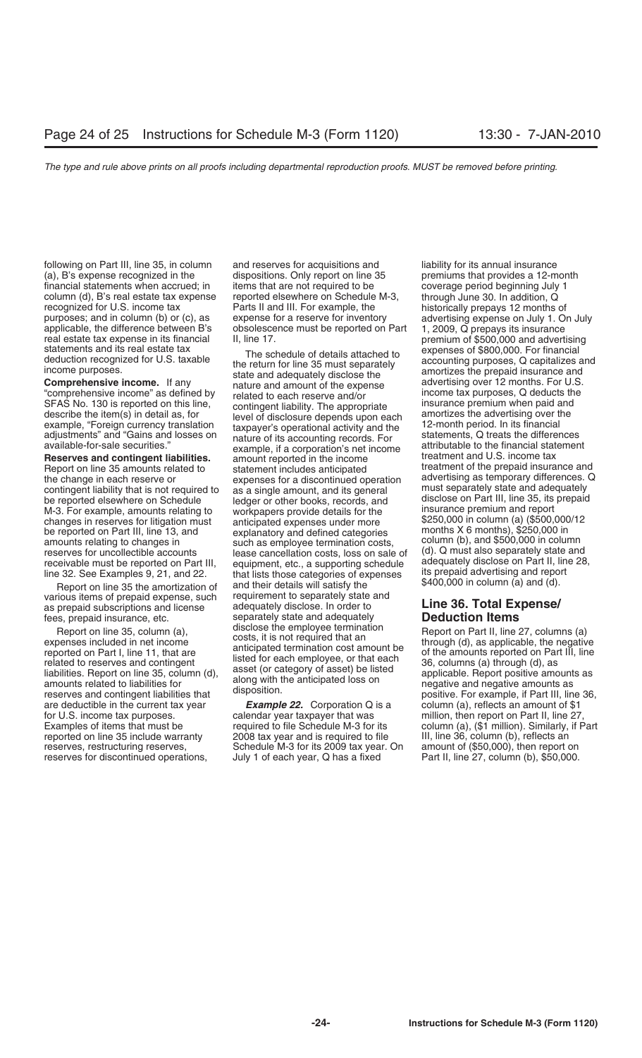real estate tax expense in its financial II, line 17.<br>statements and its real estate tax<br>rhe estatelle of details attached to expenses of \$800,000. For financial

Report on line 35 amounts related to the change in each reserve or the change insurance and statement includes anticipated or the change in each reserve or expenses for a discontinued operation advertising as temporary differences. Q<br>contingent liability that is not required to as a single amount, and its general must separately state and adequat contingent liability that is not required to as a single amount, and its general<br>be reported elsewhere on Schedule ledger or other books, records, and M-3. For example, amounts relating to workpapers provide details for the insurance premium and report changes in reserves for litigation must anticipated expenses under more \$250,000 in column (a) (\$500,000/12 changes in reserves for litigation must anticipated expenses under more  $\frac{\$250,000 \text{ in column (a) (\$500,000\text{ in})\}}{250,000 \text{ in column (b)}}$ be reported on Part III, line 13, and explanatory and defined categories months X 6 months), \$250,000 in explanatory and defined categories months X 6 months), \$250,000 in column amounts relating to changes in such as empl amounts relating to changes in such as employee termination costs, column (b), and \$500,000 in column reserves for uncollectible accounts lease cancellation costs, loss on sale of (d). Q must also separately state and

various items of prepaid expense, such requirement to separately state and<br>as prepaid subscriptions and license adequately disclose. In order to as prepaid subscriptions and license adequately disclose. In order to **Line 36. Total Expense/**<br>
fees. prepaid insurance, etc. separately state and adequately **Deduction Items** 

are deductible in the current tax year *Example 22.* Corporation Q is a column (a), reflects an amount of \$1 for U.S. income tax purposes. calendar year taxpayer that was million, then report on Part II, line 27,<br>Examples of items that must be required to file Schedule M-3 for its column (a), (\$1 million). Similarly, if F reported on line 35 include warranty 2008 tax year and is required to file III, line 36, column (b), reflects an reserves, restructuring reserves, Schedule M-3 for its 2009 tax year. On amount of (\$50,000), then report on reserves for discontinued operations, July 1 of each year, Q has a fixed Part II, line 27, column (b), \$50,000.

following on Part III, line 35, in column and reserves for acquisitions and liability for its annual insurance (a), B's expense recognized in the dispositions. Only report on line 35 premiums that provides a 12-month financial statements when accrued; in items that are not required to be coverage period beginning July 1 column (d), B's real estate tax expense reported elsewhere on Schedule M-3, through June 30. In addition, Q column (d), B's real estate tax expense reported elsewhere on Schedule M-3, through June 30. In addition, Q<br>recognized for U.S. income tax Parts II and III. For example, the historically prepays 12 months recognized for U.S. income tax Parts II and III. For example, the historically prepays 12 months of purposes; and in column (b) or (c), as expense for a reserve for inventory advertising expense on July 1. Or purposes; and in column (b) or (c), as expense for a reserve for inventory advertising expense on July 1. On July<br>applicable, the difference between B's obsolescence must be reported on Part 1, 2009, Q prepays its insuranc obsolescence must be reported on Part

SFAS No. 130 is reported on this line,<br>
describe the item(s) in detail as, for<br>
example, "Foreign currency translation<br>
adjustments" and "Gains and losses on<br>
available-for-sale securities."<br>
available-for-sale securities. available-for-sale securities.<br> **Reserves and contingent liabilities.** the amount reported in the income the income treatment and U.S. income tax<br>
Report on line 35 amounts related to statement includes anticipated the pre be reported elsewhere on Schedule disclose on Part III, line 35, its prepaid ledger or other books, records, and disclose on Part III, line 35, its prepaid worknappers provide details for the reserves for uncollectible accounts<br>
receivable must be reported on Part III, ease cancellation costs, loss on sale of (d). Q must also separately state and<br>
receivable must be reported on Part III, equipment, etc., a supp fees, prepaid insurance, etc. separately state and adequately<br> **Depart on line 25, column (c)** disclose the employee termination Report on line 35, column (a), disclose the employee termination<br>
expenses included in net income<br>
reported on Part I, line 11, that are<br>
reported on Part II, line 11, that are<br>
related to reserves and contingent<br>
liabilit

statements and its real estate tax<br>deduction recognized for U.S. taxable<br>income purposes. Comprehensive income. If any<br>"comprehensive income" as defined by the return for line 35 must separately<br>"comprehensive income" as d

column (a), (\$1 million). Similarly, if Part